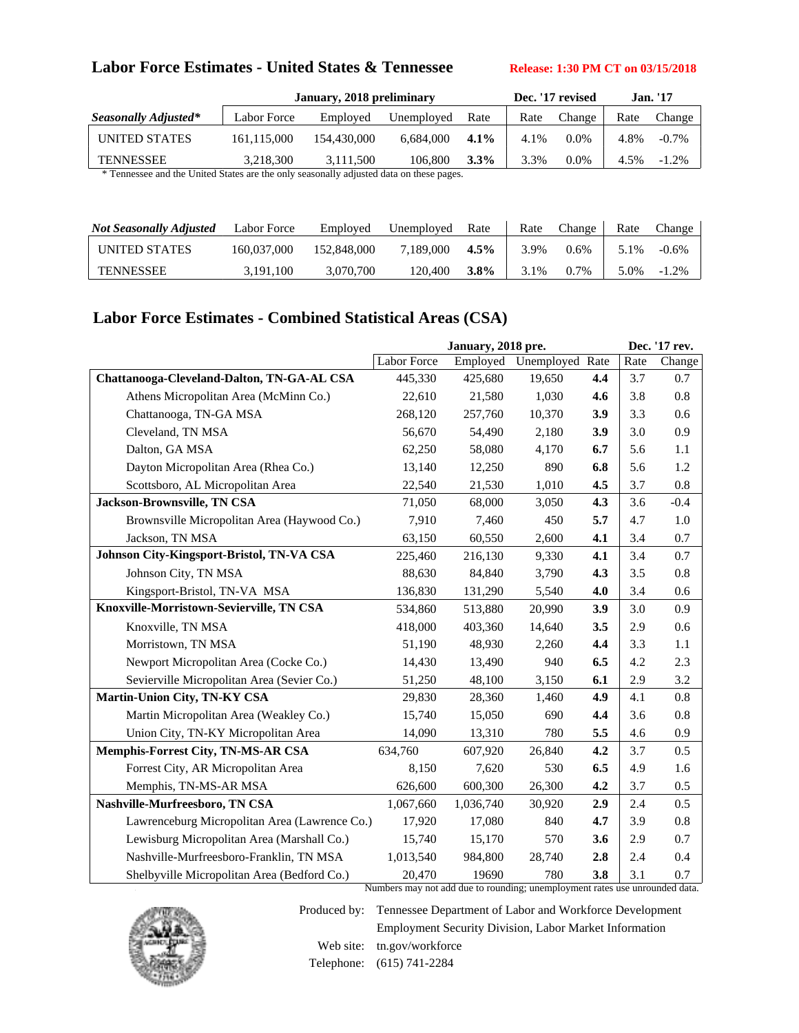# Labor Force Estimates - United States & Tennessee **Release: 1:30 PM CT** on 03/15/2018

|                                                                                      |             | January, 2018 preliminary |            | Dec. '17 revised |      | <b>Jan.</b> '17 |      |          |  |
|--------------------------------------------------------------------------------------|-------------|---------------------------|------------|------------------|------|-----------------|------|----------|--|
| Seasonally Adjusted*                                                                 | Labor Force | Employed                  | Unemployed | Rate             | Rate | Change          | Rate | Change   |  |
| UNITED STATES                                                                        | 161.115.000 | 154,430,000               | 6.684.000  | $4.1\%$          | 4.1% | $0.0\%$         | 4.8% | $-0.7\%$ |  |
| <b>TENNESSEE</b>                                                                     | 3.218.300   | 3.111.500                 | 106.800    | $3.3\%$          | 3.3% | $0.0\%$         | 4.5% | $-1.2\%$ |  |
| Tennessee and the United States are the only seasonally adjusted data on these nages |             |                           |            |                  |      |                 |      |          |  |

Tennessee and the United States are the only seasonally adjusted data on these pages.

| <b>Not Seasonally Adjusted</b> | Labor Force | Employed    | Unemployed | Rate    | Rate | Change  | Rate | Change   |
|--------------------------------|-------------|-------------|------------|---------|------|---------|------|----------|
| UNITED STATES                  | 160,037,000 | 152,848,000 | 7.189.000  | $4.5\%$ | 3.9% | $0.6\%$ | 5.1% | $-0.6%$  |
| <b>TENNESSEE</b>               | 3,191,100   | 3,070,700   | 120.400    | $3.8\%$ | 3.1% | $0.7\%$ | 5.0% | $-1.2\%$ |

# **Labor Force Estimates - Combined Statistical Areas (CSA)**

|                                               |             |           | Dec. '17 rev.   |     |      |        |
|-----------------------------------------------|-------------|-----------|-----------------|-----|------|--------|
|                                               | Labor Force | Employed  | Unemployed Rate |     | Rate | Change |
| Chattanooga-Cleveland-Dalton, TN-GA-AL CSA    | 445,330     | 425,680   | 19,650          | 4.4 | 3.7  | 0.7    |
| Athens Micropolitan Area (McMinn Co.)         | 22,610      | 21,580    | 1,030           | 4.6 | 3.8  | 0.8    |
| Chattanooga, TN-GA MSA                        | 268,120     | 257,760   | 10,370          | 3.9 | 3.3  | 0.6    |
| Cleveland, TN MSA                             | 56,670      | 54,490    | 2,180           | 3.9 | 3.0  | 0.9    |
| Dalton, GA MSA                                | 62,250      | 58,080    | 4,170           | 6.7 | 5.6  | 1.1    |
| Dayton Micropolitan Area (Rhea Co.)           | 13,140      | 12,250    | 890             | 6.8 | 5.6  | 1.2    |
| Scottsboro, AL Micropolitan Area              | 22,540      | 21,530    | 1,010           | 4.5 | 3.7  | 0.8    |
| Jackson-Brownsville, TN CSA                   | 71,050      | 68,000    | 3,050           | 4.3 | 3.6  | $-0.4$ |
| Brownsville Micropolitan Area (Haywood Co.)   | 7,910       | 7,460     | 450             | 5.7 | 4.7  | 1.0    |
| Jackson, TN MSA                               | 63,150      | 60,550    | 2,600           | 4.1 | 3.4  | 0.7    |
| Johnson City-Kingsport-Bristol, TN-VA CSA     | 225,460     | 216,130   | 9,330           | 4.1 | 3.4  | 0.7    |
| Johnson City, TN MSA                          | 88,630      | 84,840    | 3,790           | 4.3 | 3.5  | 0.8    |
| Kingsport-Bristol, TN-VA MSA                  | 136,830     | 131,290   | 5,540           | 4.0 | 3.4  | 0.6    |
| Knoxville-Morristown-Sevierville, TN CSA      | 534,860     | 513,880   | 20,990          | 3.9 | 3.0  | 0.9    |
| Knoxville, TN MSA                             | 418,000     | 403,360   | 14,640          | 3.5 | 2.9  | 0.6    |
| Morristown, TN MSA                            | 51,190      | 48,930    | 2,260           | 4.4 | 3.3  | 1.1    |
| Newport Micropolitan Area (Cocke Co.)         | 14,430      | 13,490    | 940             | 6.5 | 4.2  | 2.3    |
| Sevierville Micropolitan Area (Sevier Co.)    | 51,250      | 48,100    | 3,150           | 6.1 | 2.9  | 3.2    |
| Martin-Union City, TN-KY CSA                  | 29,830      | 28,360    | 1,460           | 4.9 | 4.1  | 0.8    |
| Martin Micropolitan Area (Weakley Co.)        | 15,740      | 15,050    | 690             | 4.4 | 3.6  | 0.8    |
| Union City, TN-KY Micropolitan Area           | 14,090      | 13,310    | 780             | 5.5 | 4.6  | 0.9    |
| <b>Memphis-Forrest City, TN-MS-AR CSA</b>     | 634,760     | 607,920   | 26,840          | 4.2 | 3.7  | 0.5    |
| Forrest City, AR Micropolitan Area            | 8,150       | 7,620     | 530             | 6.5 | 4.9  | 1.6    |
| Memphis, TN-MS-AR MSA                         | 626,600     | 600,300   | 26,300          | 4.2 | 3.7  | 0.5    |
| Nashville-Murfreesboro, TN CSA                | 1.067.660   | 1,036,740 | 30,920          | 2.9 | 2.4  | 0.5    |
| Lawrenceburg Micropolitan Area (Lawrence Co.) | 17,920      | 17,080    | 840             | 4.7 | 3.9  | 0.8    |
| Lewisburg Micropolitan Area (Marshall Co.)    | 15,740      | 15,170    | 570             | 3.6 | 2.9  | 0.7    |
| Nashville-Murfreesboro-Franklin, TN MSA       | 1,013,540   | 984,800   | 28,740          | 2.8 | 2.4  | 0.4    |
| Shelbyville Micropolitan Area (Bedford Co.)   | 20,470      | 19690     | 780             | 3.8 | 3.1  | 0.7    |

Numbers may not add due to rounding; unemployment rates use unrounded data.



Produced by: Tennessee Department of Labor and Workforce Development Employment Security Division, Labor Market Information Web site: tn.gov/workforce

Telephone: (615) 741-2284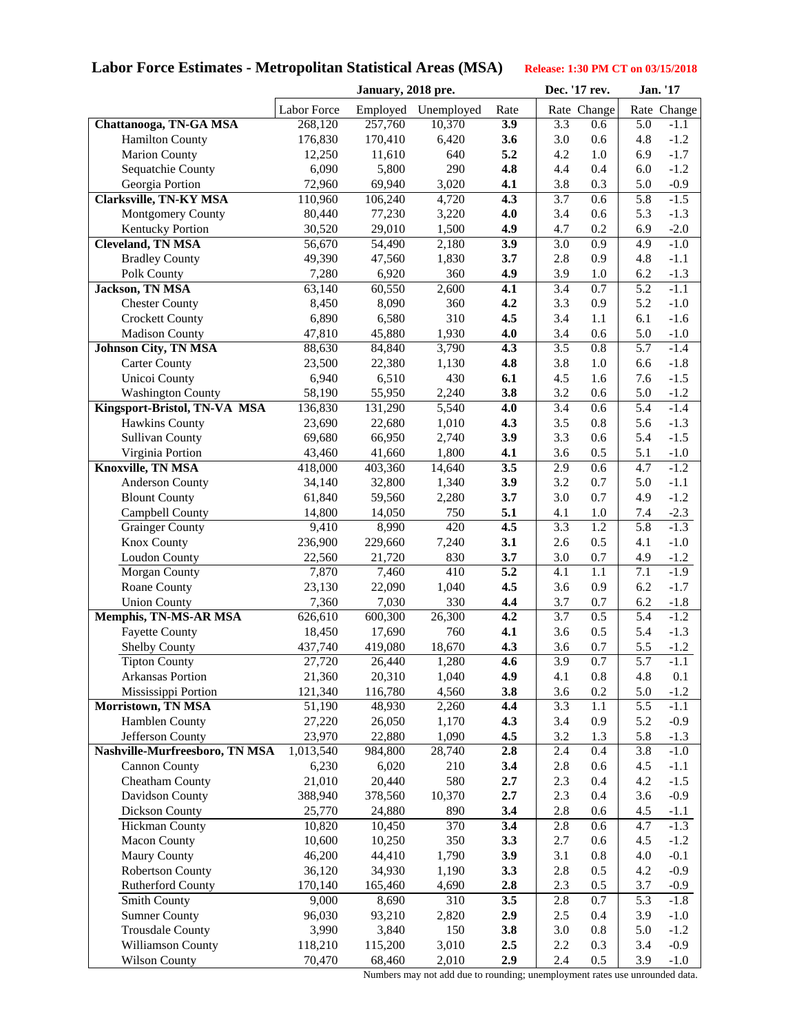# **Labor Force Estimates - Metropolitan Statistical Areas (MSA) Release: 1:30 PM CT on 03/15/2018**

|                                |             | January, 2018 pre. |                     |      |         | Dec. '17 rev. |     | Jan. '17    |
|--------------------------------|-------------|--------------------|---------------------|------|---------|---------------|-----|-------------|
|                                | Labor Force |                    | Employed Unemployed | Rate |         | Rate Change   |     | Rate Change |
| Chattanooga, TN-GA MSA         | 268,120     | 257,760            | 10,370              | 3.9  | 3.3     | 0.6           | 5.0 | $-1.1$      |
| <b>Hamilton County</b>         | 176,830     | 170,410            | 6,420               | 3.6  | 3.0     | 0.6           | 4.8 | $-1.2$      |
| <b>Marion County</b>           | 12,250      | 11,610             | 640                 | 5.2  | 4.2     | 1.0           | 6.9 | $-1.7$      |
| Sequatchie County              | 6,090       | 5,800              | 290                 | 4.8  | 4.4     | 0.4           | 6.0 | $-1.2$      |
| Georgia Portion                | 72,960      | 69,940             | 3,020               | 4.1  | 3.8     | 0.3           | 5.0 | $-0.9$      |
| <b>Clarksville, TN-KY MSA</b>  | 110,960     | 106,240            | 4,720               | 4.3  | 3.7     | 0.6           | 5.8 | $-1.5$      |
| Montgomery County              | 80,440      | 77,230             | 3,220               | 4.0  | 3.4     | 0.6           | 5.3 | $-1.3$      |
| Kentucky Portion               | 30,520      | 29,010             | 1,500               | 4.9  | 4.7     | 0.2           | 6.9 | $-2.0$      |
| <b>Cleveland, TN MSA</b>       | 56,670      | 54,490             | 2,180               | 3.9  | 3.0     | 0.9           | 4.9 | $-1.0$      |
| <b>Bradley County</b>          | 49,390      | 47,560             | 1,830               | 3.7  | 2.8     | 0.9           | 4.8 | $-1.1$      |
| Polk County                    | 7,280       | 6,920              | 360                 | 4.9  | 3.9     | 1.0           | 6.2 | $-1.3$      |
| Jackson, TN MSA                | 63,140      | 60,550             | 2,600               | 4.1  | 3.4     | 0.7           | 5.2 | $-1.1$      |
| <b>Chester County</b>          | 8,450       | 8,090              | 360                 | 4.2  | 3.3     | 0.9           | 5.2 | $-1.0$      |
| <b>Crockett County</b>         | 6,890       | 6,580              | 310                 | 4.5  | 3.4     | 1.1           | 6.1 | $-1.6$      |
| <b>Madison County</b>          | 47,810      | 45,880             | 1,930               | 4.0  | 3.4     | 0.6           | 5.0 | $-1.0$      |
| <b>Johnson City, TN MSA</b>    | 88,630      | 84,840             | 3,790               | 4.3  | 3.5     | $0.8\,$       | 5.7 | $-1.4$      |
| <b>Carter County</b>           | 23,500      | 22,380             | 1,130               | 4.8  | 3.8     | 1.0           | 6.6 | $-1.8$      |
| Unicoi County                  | 6,940       | 6,510              | 430                 | 6.1  | 4.5     | 1.6           | 7.6 | $-1.5$      |
| <b>Washington County</b>       | 58,190      | 55,950             | 2,240               | 3.8  | 3.2     | 0.6           | 5.0 | $-1.2$      |
| Kingsport-Bristol, TN-VA MSA   | 136,830     | 131,290            | 5,540               | 4.0  | 3.4     | 0.6           | 5.4 | $-1.4$      |
| <b>Hawkins County</b>          | 23,690      | 22,680             | 1,010               | 4.3  | 3.5     | 0.8           | 5.6 | $-1.3$      |
| <b>Sullivan County</b>         | 69,680      | 66,950             | 2,740               | 3.9  | 3.3     | 0.6           | 5.4 | $-1.5$      |
| Virginia Portion               | 43,460      | 41,660             | 1,800               | 4.1  | 3.6     | 0.5           | 5.1 | $-1.0$      |
| Knoxville, TN MSA              | 418,000     | 403,360            | 14,640              | 3.5  | 2.9     | 0.6           | 4.7 | $-1.2$      |
| <b>Anderson County</b>         | 34,140      | 32,800             | 1,340               | 3.9  | 3.2     | 0.7           | 5.0 | $-1.1$      |
| <b>Blount County</b>           | 61,840      | 59,560             | 2,280               | 3.7  | 3.0     | 0.7           | 4.9 | $-1.2$      |
| Campbell County                | 14,800      | 14,050             | 750                 | 5.1  | 4.1     | 1.0           | 7.4 | $-2.3$      |
| <b>Grainger County</b>         | 9,410       | 8,990              | 420                 | 4.5  | 3.3     | 1.2           | 5.8 | $-1.3$      |
| Knox County                    | 236,900     | 229,660            | 7,240               | 3.1  | 2.6     | 0.5           | 4.1 | $-1.0$      |
| Loudon County                  | 22,560      | 21,720             | 830                 | 3.7  | 3.0     | 0.7           | 4.9 | $-1.2$      |
| Morgan County                  | 7,870       | 7,460              | 410                 | 5.2  | 4.1     | 1.1           | 7.1 | $-1.9$      |
| Roane County                   | 23,130      | 22,090             | 1,040               | 4.5  | 3.6     | 0.9           | 6.2 | $-1.7$      |
| <b>Union County</b>            | 7,360       | 7,030              | 330                 | 4,4  | 3.7     | 0.7           | 6.2 | $-1.8$      |
| Memphis, TN-MS-AR MSA          | 626,610     | 600,300            | 26,300              | 4.2  | 3.7     | 0.5           | 5.4 | $-1.2$      |
| <b>Fayette County</b>          | 18,450      | 17,690             | 760                 | 4.1  | 3.6     | 0.5           | 5.4 | $-1.3$      |
| <b>Shelby County</b>           | 437,740     | 419,080            | 18,670              | 4.3  | 3.6     | 0.7           | 5.5 | $-1.2$      |
| <b>Tipton County</b>           | 27,720      | 26,440             | 1,280               | 4.6  | 3.9     | 0.7           | 5.7 | $-1.1$      |
| Arkansas Portion               | 21,360      | 20,310             | 1,040               | 4.9  | 4.1     | $0.8\,$       | 4.8 | $0.1\,$     |
| Mississippi Portion            | 121,340     | 116,780            | 4,560               | 3.8  | 3.6     | 0.2           | 5.0 | $-1.2$      |
| Morristown, TN MSA             | 51,190      | 48,930             | 2,260               | 4.4  | 3.3     | 1.1           | 5.5 | $-1.1$      |
| Hamblen County                 | 27,220      | 26,050             | 1,170               | 4.3  | 3.4     | 0.9           | 5.2 | $-0.9$      |
| Jefferson County               | 23,970      | 22,880             | 1,090               | 4.5  | 3.2     | 1.3           | 5.8 | $-1.3$      |
| Nashville-Murfreesboro, TN MSA | 1,013,540   | 984,800            | 28,740              | 2.8  | 2.4     | 0.4           | 3.8 | $-1.0$      |
| <b>Cannon County</b>           | 6,230       | 6,020              | 210                 | 3.4  | 2.8     | 0.6           | 4.5 | $-1.1$      |
| Cheatham County                | 21,010      | 20,440             | 580                 | 2.7  | 2.3     | 0.4           | 4.2 | $-1.5$      |
| Davidson County                | 388,940     | 378,560            | 10,370              | 2.7  | 2.3     | 0.4           | 3.6 | $-0.9$      |
| Dickson County                 | 25,770      | 24,880             | 890                 | 3.4  | 2.8     | 0.6           | 4.5 | $-1.1$      |
| <b>Hickman County</b>          | 10,820      | 10,450             | 370                 | 3.4  | 2.8     | 0.6           | 4.7 | $-1.3$      |
| <b>Macon County</b>            | 10,600      | 10,250             | 350                 | 3.3  | 2.7     | 0.6           | 4.5 | $-1.2$      |
| <b>Maury County</b>            | 46,200      | 44,410             | 1,790               | 3.9  | 3.1     | 0.8           | 4.0 | $-0.1$      |
| Robertson County               | 36,120      | 34,930             | 1,190               | 3.3  | 2.8     | 0.5           | 4.2 | $-0.9$      |
| <b>Rutherford County</b>       | 170,140     | 165,460            | 4,690               | 2.8  | 2.3     | 0.5           | 3.7 | $-0.9$      |
| Smith County                   | 9,000       | 8,690              | 310                 | 3.5  | 2.8     | 0.7           | 5.3 | $-1.8$      |
| <b>Sumner County</b>           | 96,030      | 93,210             | 2,820               | 2.9  | $2.5\,$ | 0.4           | 3.9 | $-1.0$      |
| <b>Trousdale County</b>        | 3,990       | 3,840              | 150                 | 3.8  | 3.0     | 0.8           | 5.0 | $-1.2$      |
| Williamson County              | 118,210     | 115,200            | 3,010               | 2.5  | 2.2     | 0.3           | 3.4 | $-0.9$      |
| <b>Wilson County</b>           | 70,470      | 68,460             | 2,010               | 2.9  | 2.4     | 0.5           | 3.9 | $-1.0$      |

Numbers may not add due to rounding; unemployment rates use unrounded data.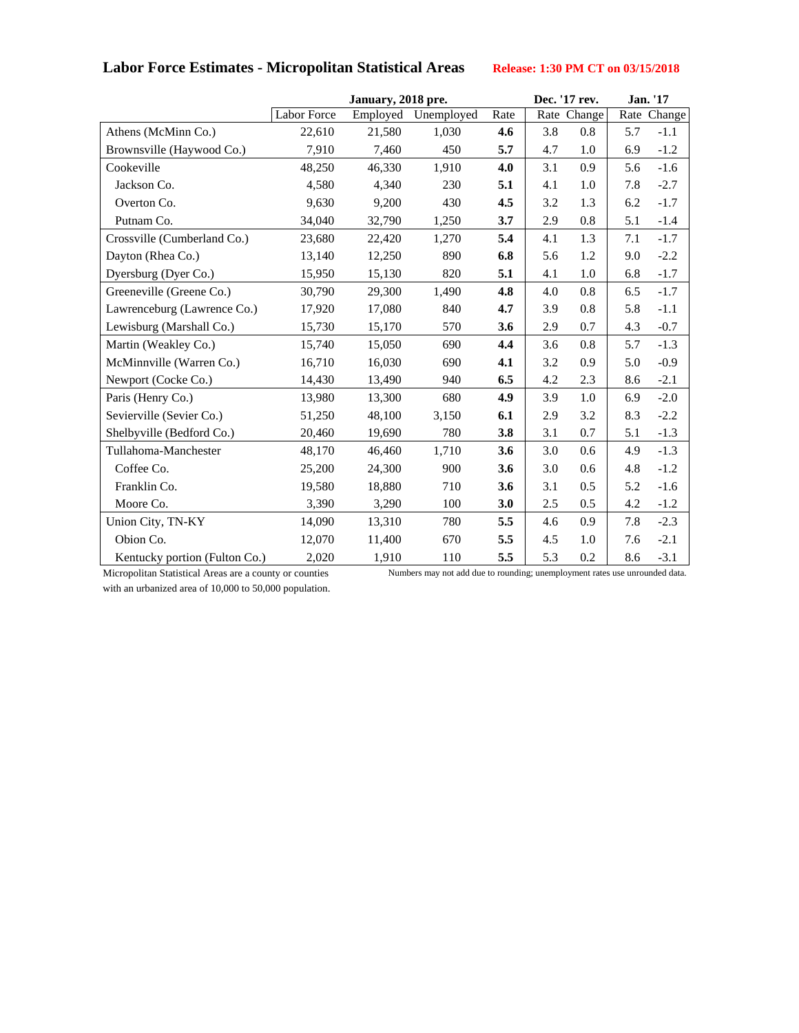# Labor Force Estimates - Micropolitan Statistical Areas Release: 1:30 PM CT on 03/15/2018

|                               | January, 2018 pre. |          |            |      |     | Dec. '17 rev. | Jan. '17 |             |
|-------------------------------|--------------------|----------|------------|------|-----|---------------|----------|-------------|
|                               | <b>Labor Force</b> | Employed | Unemployed | Rate |     | Rate Change   |          | Rate Change |
| Athens (McMinn Co.)           | 22,610             | 21,580   | 1,030      | 4.6  | 3.8 | 0.8           | 5.7      | $-1.1$      |
| Brownsville (Haywood Co.)     | 7,910              | 7,460    | 450        | 5.7  | 4.7 | 1.0           | 6.9      | $-1.2$      |
| Cookeville                    | 48,250             | 46,330   | 1,910      | 4.0  | 3.1 | 0.9           | 5.6      | $-1.6$      |
| Jackson Co.                   | 4,580              | 4,340    | 230        | 5.1  | 4.1 | 1.0           | 7.8      | $-2.7$      |
| Overton Co.                   | 9,630              | 9,200    | 430        | 4.5  | 3.2 | 1.3           | 6.2      | $-1.7$      |
| Putnam Co.                    | 34,040             | 32,790   | 1,250      | 3.7  | 2.9 | 0.8           | 5.1      | $-1.4$      |
| Crossville (Cumberland Co.)   | 23,680             | 22,420   | 1,270      | 5.4  | 4.1 | 1.3           | 7.1      | $-1.7$      |
| Dayton (Rhea Co.)             | 13,140             | 12,250   | 890        | 6.8  | 5.6 | 1.2           | 9.0      | $-2.2$      |
| Dyersburg (Dyer Co.)          | 15,950             | 15,130   | 820        | 5.1  | 4.1 | 1.0           | 6.8      | $-1.7$      |
| Greeneville (Greene Co.)      | 30,790             | 29,300   | 1,490      | 4.8  | 4.0 | 0.8           | 6.5      | $-1.7$      |
| Lawrenceburg (Lawrence Co.)   | 17,920             | 17,080   | 840        | 4.7  | 3.9 | 0.8           | 5.8      | $-1.1$      |
| Lewisburg (Marshall Co.)      | 15,730             | 15,170   | 570        | 3.6  | 2.9 | 0.7           | 4.3      | $-0.7$      |
| Martin (Weakley Co.)          | 15,740             | 15,050   | 690        | 4.4  | 3.6 | 0.8           | 5.7      | $-1.3$      |
| McMinnville (Warren Co.)      | 16,710             | 16,030   | 690        | 4.1  | 3.2 | 0.9           | 5.0      | $-0.9$      |
| Newport (Cocke Co.)           | 14,430             | 13,490   | 940        | 6.5  | 4.2 | 2.3           | 8.6      | $-2.1$      |
| Paris (Henry Co.)             | 13,980             | 13,300   | 680        | 4.9  | 3.9 | 1.0           | 6.9      | $-2.0$      |
| Sevierville (Sevier Co.)      | 51,250             | 48,100   | 3,150      | 6.1  | 2.9 | 3.2           | 8.3      | $-2.2$      |
| Shelbyville (Bedford Co.)     | 20,460             | 19,690   | 780        | 3.8  | 3.1 | 0.7           | 5.1      | $-1.3$      |
| Tullahoma-Manchester          | 48,170             | 46,460   | 1,710      | 3.6  | 3.0 | 0.6           | 4.9      | $-1.3$      |
| Coffee Co.                    | 25,200             | 24,300   | 900        | 3.6  | 3.0 | 0.6           | 4.8      | $-1.2$      |
| Franklin Co.                  | 19,580             | 18,880   | 710        | 3.6  | 3.1 | 0.5           | 5.2      | $-1.6$      |
| Moore Co.                     | 3,390              | 3,290    | 100        | 3.0  | 2.5 | 0.5           | 4.2      | $-1.2$      |
| Union City, TN-KY             | 14,090             | 13,310   | 780        | 5.5  | 4.6 | 0.9           | 7.8      | $-2.3$      |
| Obion Co.                     | 12,070             | 11,400   | 670        | 5.5  | 4.5 | 1.0           | 7.6      | $-2.1$      |
| Kentucky portion (Fulton Co.) | 2,020              | 1,910    | 110        | 5.5  | 5.3 | 0.2           | 8.6      | $-3.1$      |

with an urbanized area of 10,000 to 50,000 population.

Micropolitan Statistical Areas are a county or counties Numbers may not add due to rounding; unemployment rates use unrounded data.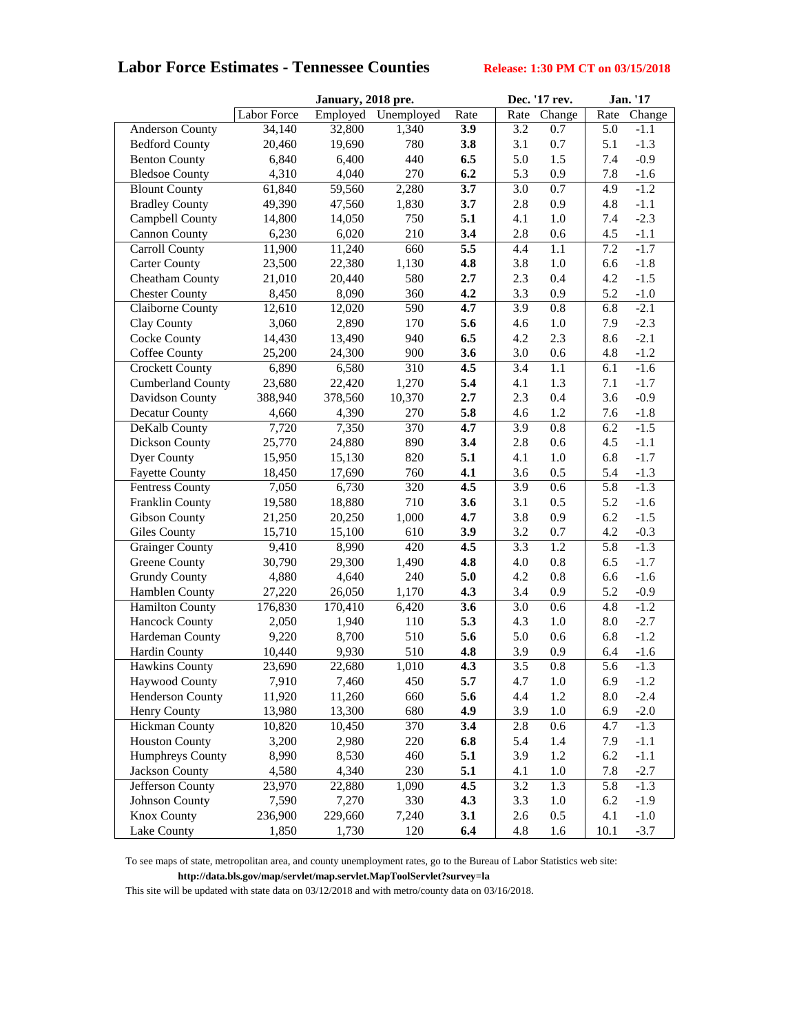## **Labor Force Estimates - Tennessee Counties Release: 1:30 PM CT on 03/15/2018**

|                          |             | January, 2018 pre. |            |      |                  | Dec. '17 rev. | <b>Jan.</b> '17 |        |
|--------------------------|-------------|--------------------|------------|------|------------------|---------------|-----------------|--------|
|                          | Labor Force | Employed           | Unemployed | Rate | Rate             | Change        | Rate            | Change |
| <b>Anderson County</b>   | 34,140      | 32,800             | 1,340      | 3.9  | 3.2              | 0.7           | 5.0             | $-1.1$ |
| <b>Bedford County</b>    | 20,460      | 19,690             | 780        | 3.8  | 3.1              | 0.7           | 5.1             | $-1.3$ |
| <b>Benton County</b>     | 6,840       | 6,400              | 440        | 6.5  | 5.0              | 1.5           | 7.4             | $-0.9$ |
| <b>Bledsoe County</b>    | 4,310       | 4,040              | 270        | 6.2  | 5.3              | 0.9           | 7.8             | $-1.6$ |
| <b>Blount County</b>     | 61,840      | 59,560             | 2,280      | 3.7  | 3.0              | 0.7           | 4.9             | $-1.2$ |
| <b>Bradley County</b>    | 49,390      | 47,560             | 1,830      | 3.7  | 2.8              | 0.9           | 4.8             | $-1.1$ |
| Campbell County          | 14,800      | 14,050             | 750        | 5.1  | 4.1              | 1.0           | 7.4             | $-2.3$ |
| <b>Cannon County</b>     | 6,230       | 6,020              | 210        | 3.4  | 2.8              | 0.6           | 4.5             | $-1.1$ |
| <b>Carroll County</b>    | 11,900      | 11,240             | 660        | 5.5  | 4.4              | 1.1           | 7.2             | $-1.7$ |
| <b>Carter County</b>     | 23,500      | 22,380             | 1,130      | 4.8  | 3.8              | 1.0           | 6.6             | $-1.8$ |
| Cheatham County          | 21,010      | 20,440             | 580        | 2.7  | 2.3              | 0.4           | 4.2             | $-1.5$ |
| <b>Chester County</b>    | 8,450       | 8,090              | 360        | 4.2  | 3.3              | 0.9           | 5.2             | $-1.0$ |
| Claiborne County         | 12,610      | 12,020             | 590        | 4.7  | 3.9              | $0.8\,$       | 6.8             | $-2.1$ |
| Clay County              | 3,060       | 2,890              | 170        | 5.6  | 4.6              | 1.0           | 7.9             | $-2.3$ |
| <b>Cocke County</b>      | 14,430      | 13,490             | 940        | 6.5  | 4.2              | 2.3           | 8.6             | $-2.1$ |
| Coffee County            | 25,200      | 24,300             | 900        | 3.6  | 3.0              | 0.6           | 4.8             | $-1.2$ |
| <b>Crockett County</b>   | 6,890       | 6,580              | 310        | 4.5  | 3.4              | 1.1           | 6.1             | $-1.6$ |
| <b>Cumberland County</b> | 23,680      | 22,420             | 1,270      | 5.4  | 4.1              | 1.3           | 7.1             | $-1.7$ |
| Davidson County          | 388,940     | 378,560            | 10,370     | 2.7  | 2.3              | 0.4           | 3.6             | $-0.9$ |
| Decatur County           | 4,660       | 4,390              | 270        | 5.8  | 4.6              | 1.2           | 7.6             | $-1.8$ |
| DeKalb County            | 7,720       | 7,350              | 370        | 4.7  | 3.9              | $0.8\,$       | 6.2             | $-1.5$ |
| Dickson County           | 25,770      | 24,880             | 890        | 3.4  | 2.8              | 0.6           | 4.5             | $-1.1$ |
| Dyer County              | 15,950      | 15,130             | 820        | 5.1  | 4.1              | $1.0\,$       | 6.8             | $-1.7$ |
| <b>Fayette County</b>    | 18,450      | 17,690             | 760        | 4.1  | 3.6              | 0.5           | 5.4             | $-1.3$ |
| <b>Fentress County</b>   | 7,050       | 6,730              | 320        | 4.5  | 3.9              | 0.6           | 5.8             | $-1.3$ |
| Franklin County          | 19,580      | 18,880             | 710        | 3.6  | 3.1              | 0.5           | 5.2             | $-1.6$ |
| Gibson County            | 21,250      | 20,250             | 1,000      | 4.7  | 3.8              | 0.9           | 6.2             | $-1.5$ |
| <b>Giles County</b>      | 15,710      | 15,100             | 610        | 3.9  | 3.2              | 0.7           | 4.2             | $-0.3$ |
| <b>Grainger County</b>   | 9,410       | 8,990              | 420        | 4.5  | 3.3              | 1.2           | 5.8             | $-1.3$ |
| <b>Greene County</b>     | 30,790      | 29,300             | 1,490      | 4.8  | 4.0              | 0.8           | 6.5             | $-1.7$ |
| <b>Grundy County</b>     | 4,880       | 4,640              | 240        | 5.0  | 4.2              | 0.8           | 6.6             | $-1.6$ |
| Hamblen County           | 27,220      | 26,050             | 1,170      | 4.3  | 3.4              | 0.9           | 5.2             | $-0.9$ |
| <b>Hamilton County</b>   | 176,830     | 170,410            | 6,420      | 3.6  | 3.0              | $0.6\,$       | 4.8             | $-1.2$ |
| <b>Hancock County</b>    | 2,050       | 1,940              | 110        | 5.3  | 4.3              | $1.0\,$       | 8.0             | $-2.7$ |
| Hardeman County          | 9,220       | 8,700              | 510        | 5.6  | 5.0              | 0.6           | 6.8             | $-1.2$ |
| <b>Hardin County</b>     | 10,440      | 9,930              | 510        | 4.8  | 3.9              | 0.9           | 6.4             | $-1.6$ |
| <b>Hawkins County</b>    | 23,690      | 22,680             | 1,010      | 4.3  | $\overline{3.5}$ | 0.8           | 5.6             | $-1.3$ |
| <b>Haywood County</b>    | 7,910       | 7,460              | 450        | 5.7  | 4.7              | 1.0           | 6.9             | $-1.2$ |
| Henderson County         | 11,920      | 11,260             | 660        | 5.6  | 4.4              | 1.2           | $8.0\,$         | $-2.4$ |
| Henry County             | 13,980      | 13,300             | 680        | 4.9  | 3.9              | 1.0           | 6.9             | $-2.0$ |
| <b>Hickman County</b>    | 10,820      | 10,450             | 370        | 3.4  | 2.8              | 0.6           | 4.7             | $-1.3$ |
| <b>Houston County</b>    | 3,200       | 2,980              | 220        | 6.8  | 5.4              | 1.4           | 7.9             | $-1.1$ |
| Humphreys County         | 8,990       | 8,530              | 460        | 5.1  | 3.9              | 1.2           | 6.2             | $-1.1$ |
| <b>Jackson County</b>    | 4,580       | 4,340              | 230        | 5.1  | 4.1              | $1.0\,$       | 7.8             | $-2.7$ |
| Jefferson County         | 23,970      | 22,880             | 1,090      | 4.5  | 3.2              | 1.3           | 5.8             | $-1.3$ |
| <b>Johnson County</b>    | 7,590       | 7,270              | 330        | 4.3  | 3.3              | 1.0           | 6.2             | $-1.9$ |
| <b>Knox County</b>       | 236,900     | 229,660            | 7,240      | 3.1  | 2.6              | $0.5\,$       | 4.1             | $-1.0$ |
| Lake County              | 1,850       | 1,730              | 120        | 6.4  | 4.8              | 1.6           | 10.1            | $-3.7$ |

 To see maps of state, metropolitan area, and county unemployment rates, go to the Bureau of Labor Statistics web site: **http://data.bls.gov/map/servlet/map.servlet.MapToolServlet?survey=la** 

This site will be updated with state data on 03/12/2018 and with metro/county data on 03/16/2018.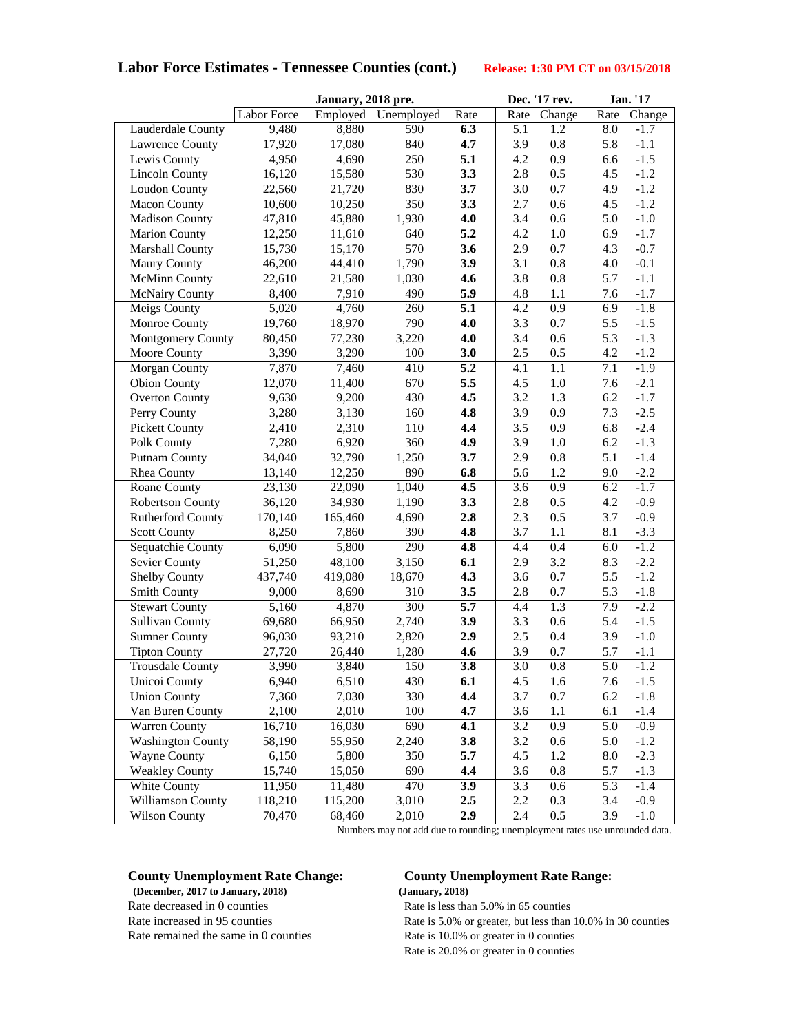### **Labor Force Estimates - Tennessee Counties (cont.) Release: 1:30 PM CT on 03/15/2018**

|                                              |                   | January, 2018 pre. |                | Dec. '17 rev. |            | Jan. '17                    |            |                  |
|----------------------------------------------|-------------------|--------------------|----------------|---------------|------------|-----------------------------|------------|------------------|
|                                              | Labor Force       | Employed           | Unemployed     | Rate          | Rate       | Change                      | Rate       | Change           |
| Lauderdale County                            | 9,480             | 8,880              | 590            | 6.3           | 5.1        | 1.2                         | 8.0        | $-1.7$           |
| <b>Lawrence County</b>                       | 17,920            | 17,080             | 840            | 4.7           | 3.9        | 0.8                         | 5.8        | $-1.1$           |
| Lewis County                                 | 4,950             | 4,690              | 250            | 5.1           | 4.2        | 0.9                         | 6.6        | $-1.5$           |
| <b>Lincoln County</b>                        | 16,120            | 15,580             | 530            | 3.3           | 2.8        | 0.5                         | 4.5        | $-1.2$           |
| <b>Loudon County</b>                         | 22,560            | 21,720             | 830            | 3.7           | 3.0        | $0.7\,$                     | 4.9        | $-1.2$           |
| <b>Macon County</b>                          | 10,600            | 10,250             | 350            | 3.3           | 2.7        | 0.6                         | 4.5        | $-1.2$           |
| <b>Madison County</b>                        | 47,810            | 45,880             | 1,930          | 4.0           | 3.4        | 0.6                         | 5.0        | $-1.0$           |
| <b>Marion County</b>                         | 12,250            | 11,610             | 640            | 5.2           | 4.2        | 1.0                         | 6.9        | $-1.7$           |
| Marshall County                              | 15,730            | 15,170             | 570            | 3.6           | 2.9        | 0.7                         | 4.3        | $-0.7$           |
| <b>Maury County</b>                          | 46,200            | 44,410             | 1,790          | 3.9           | 3.1        | $0.8\,$                     | 4.0        | $-0.1$           |
| <b>McMinn County</b>                         | 22,610            | 21,580             | 1,030          | 4.6           | 3.8        | 0.8                         | 5.7        | $-1.1$           |
| <b>McNairy County</b>                        | 8,400             | 7,910              | 490            | 5.9           | 4.8        | 1.1                         | 7.6        | $-1.7$           |
| Meigs County                                 | 5,020             | 4,760              | 260            | 5.1           | 4.2        | 0.9                         | 6.9        | $-1.8$           |
| Monroe County                                | 19,760            | 18,970             | 790            | 4.0           | 3.3        | 0.7                         | 5.5        | $-1.5$           |
| Montgomery County                            | 80,450            | 77,230             | 3,220          | 4.0           | 3.4        | 0.6                         | 5.3        | $-1.3$           |
| Moore County                                 | 3,390             | 3,290              | 100            | 3.0           | 2.5        | 0.5                         | 4.2        | $-1.2$           |
| Morgan County                                | 7,870             | 7,460              | 410            | 5.2           | 4.1        | 1.1                         | 7.1        | $-1.9$           |
| <b>Obion County</b>                          | 12,070            | 11,400             | 670            | 5.5           | 4.5        | 1.0                         | 7.6        | $-2.1$           |
| <b>Overton County</b>                        | 9,630             | 9,200              | 430            | 4.5           | 3.2        | 1.3                         | 6.2        | $-1.7$           |
| Perry County                                 | 3,280             | 3,130              | 160            | 4.8           | 3.9        | 0.9                         | 7.3        | $-2.5$           |
| <b>Pickett County</b>                        | 2,410             | 2,310              | 110            | 4.4           | 3.5        | 0.9                         | 6.8        | $-2.4$           |
| Polk County                                  | 7,280             | 6,920              | 360            | 4.9           | 3.9        | $1.0\,$                     | 6.2        | $-1.3$           |
| <b>Putnam County</b>                         | 34,040            | 32,790             | 1,250          | 3.7           | 2.9        | 0.8                         | 5.1        | $-1.4$           |
| Rhea County                                  | 13,140            | 12,250             | 890            | 6.8           | 5.6        | 1.2                         | 9.0        | $-2.2$           |
| Roane County                                 | 23,130            | 22,090             | 1,040          | 4.5           | 3.6        | 0.9                         | 6.2        | $-1.7$           |
| Robertson County                             | 36,120            | 34,930             | 1,190          | 3.3           | 2.8        | 0.5                         | 4.2        | $-0.9$           |
| Rutherford County                            | 170,140           | 165,460            | 4,690          | 2.8           | 2.3        | 0.5                         | 3.7        | $-0.9$           |
| <b>Scott County</b>                          | 8,250             | 7,860              | 390            | 4.8           | 3.7        | 1.1                         | 8.1        | $-3.3$           |
| Sequatchie County                            | 6,090             | 5,800              | 290            | 4.8           | 4.4        | 0.4                         | 6.0        | $-1.2$           |
| Sevier County                                | 51,250            | 48,100             | 3,150          | 6.1           | 2.9        | 3.2                         | 8.3        | $-2.2$           |
| Shelby County                                | 437,740           | 419,080            | 18,670         | 4.3           | 3.6        | 0.7                         | 5.5        | $-1.2$           |
| <b>Smith County</b>                          | 9,000             | 8,690              | 310            | 3.5           | 2.8        | 0.7                         | 5.3        | $-1.8$           |
| <b>Stewart County</b>                        | 5,160             | 4,870              | 300            | 5.7           | 4.4        | 1.3                         | 7.9        | $-2.2$           |
| <b>Sullivan County</b>                       | 69,680            | 66,950             | 2,740          | 3.9           | 3.3        | 0.6                         | 5.4        | $-1.5$           |
| <b>Sumner County</b>                         | 96,030            | 93,210             | 2,820          | 2.9           | 2.5        | 0.4                         | 3.9        | $-1.0$           |
| <b>Tipton County</b>                         | 27,720            | 26,440             | 1,280          | 4.6           | 3.9        | 0.7                         | 5.7        | $-1.1$           |
| <b>Trousdale County</b>                      | 3,990             | 3,840              | 150            | 3.8           | 3.0        | 0.8                         | 5.0        | $-1.2$           |
| Unicoi County<br><b>Union County</b>         | 6,940             | 6,510              | 430            | 6.1           | 4.5        | 1.6                         | 7.6        | $-1.5$           |
| Van Buren County                             | 7,360             | 7,030<br>2,010     | 330<br>100     | 4.4<br>4.7    | 3.7        | 0.7                         | 6.2        | $-1.8$           |
|                                              | 2,100             |                    |                |               | 3.6        | $1.1\,$<br>$\overline{0.9}$ | 6.1        | $-1.4$           |
| Warren County<br><b>Washington County</b>    | 16,710            | 16,030             | 690            | 4.1           | 3.2        |                             | 5.0        | $-0.9$           |
|                                              | 58,190<br>6,150   | 55,950             | 2,240<br>350   | 3.8<br>5.7    | 3.2<br>4.5 | 0.6<br>1.2                  | 5.0        | $-1.2$           |
| <b>Wayne County</b><br><b>Weakley County</b> |                   | 5,800              |                |               |            |                             | 8.0        | $-2.3$           |
| White County                                 | 15,740            | 15,050             | 690<br>470     | 4.4<br>3.9    | 3.6<br>3.3 | 0.8                         | 5.7<br>5.3 | $-1.3$           |
| Williamson County                            | 11,950            | 11,480<br>115,200  |                | 2.5           | 2.2        | 0.6<br>0.3                  | 3.4        | $-1.4$           |
| <b>Wilson County</b>                         | 118,210<br>70,470 | 68,460             | 3,010<br>2,010 | 2.9           | 2.4        | $0.5\,$                     | 3.9        | $-0.9$<br>$-1.0$ |
|                                              |                   |                    |                |               |            |                             |            |                  |

Numbers may not add due to rounding; unemployment rates use unrounded data.

 **(December, 2017 to January, 2018) (January, 2018)** Rate decreased in 0 counties Rate increased in 95 counties Rate remained the same in 0 counties

#### **County Unemployment Rate Change: County Unemployment Rate Range:**

Rate is less than 5.0% in 65 counties Rate is 5.0% or greater, but less than 10.0% in 30 counties Rate is 10.0% or greater in 0 counties Rate is 20.0% or greater in 0 counties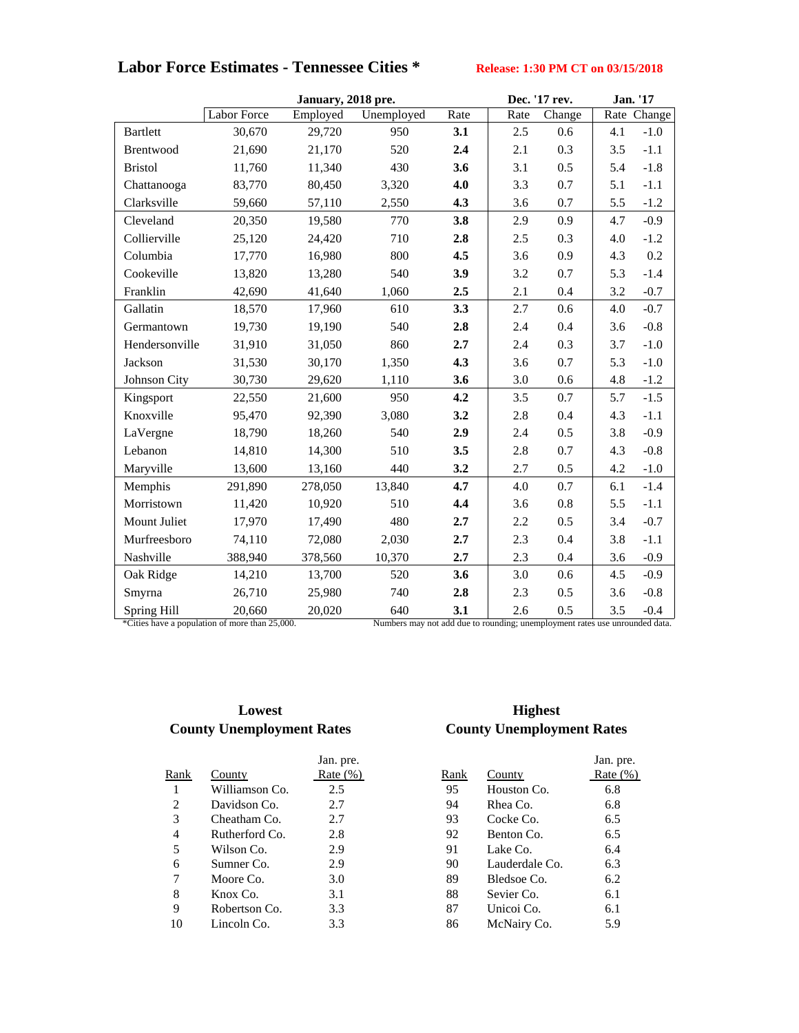# **Labor Force Estimates - Tennessee Cities \* Release: 1:30 PM CT on 03/15/2018**

|                 |                                                | January, 2018 pre. |                                                                             |      | Dec. '17 rev. |         | Jan. '17 |             |
|-----------------|------------------------------------------------|--------------------|-----------------------------------------------------------------------------|------|---------------|---------|----------|-------------|
|                 | <b>Labor Force</b>                             | Employed           | Unemployed                                                                  | Rate | Rate          | Change  |          | Rate Change |
| <b>Bartlett</b> | 30,670                                         | 29,720             | 950                                                                         | 3.1  | 2.5           | 0.6     | 4.1      | $-1.0$      |
| Brentwood       | 21,690                                         | 21,170             | 520                                                                         | 2.4  | 2.1           | 0.3     | 3.5      | $-1.1$      |
| <b>Bristol</b>  | 11,760                                         | 11,340             | 430                                                                         | 3.6  | 3.1           | 0.5     | 5.4      | $-1.8$      |
| Chattanooga     | 83,770                                         | 80,450             | 3,320                                                                       | 4.0  | 3.3           | 0.7     | 5.1      | $-1.1$      |
| Clarksville     | 59,660                                         | 57,110             | 2,550                                                                       | 4.3  | 3.6           | 0.7     | 5.5      | $-1.2$      |
| Cleveland       | 20,350                                         | 19,580             | 770                                                                         | 3.8  | 2.9           | 0.9     | 4.7      | $-0.9$      |
| Collierville    | 25,120                                         | 24,420             | 710                                                                         | 2.8  | 2.5           | 0.3     | 4.0      | $-1.2$      |
| Columbia        | 17,770                                         | 16,980             | 800                                                                         | 4.5  | 3.6           | 0.9     | 4.3      | 0.2         |
| Cookeville      | 13,820                                         | 13,280             | 540                                                                         | 3.9  | 3.2           | 0.7     | 5.3      | $-1.4$      |
| Franklin        | 42,690                                         | 41,640             | 1,060                                                                       | 2.5  | 2.1           | 0.4     | 3.2      | $-0.7$      |
| Gallatin        | 18,570                                         | 17,960             | 610                                                                         | 3.3  | 2.7           | 0.6     | 4.0      | $-0.7$      |
| Germantown      | 19,730                                         | 19,190             | 540                                                                         | 2.8  | 2.4           | 0.4     | 3.6      | $-0.8$      |
| Hendersonville  | 31,910                                         | 31,050             | 860                                                                         | 2.7  | 2.4           | 0.3     | 3.7      | $-1.0$      |
| Jackson         | 31,530                                         | 30,170             | 1,350                                                                       | 4.3  | 3.6           | 0.7     | 5.3      | $-1.0$      |
| Johnson City    | 30,730                                         | 29,620             | 1,110                                                                       | 3.6  | 3.0           | 0.6     | 4.8      | $-1.2$      |
| Kingsport       | 22,550                                         | 21,600             | 950                                                                         | 4.2  | 3.5           | 0.7     | 5.7      | $-1.5$      |
| Knoxville       | 95,470                                         | 92,390             | 3,080                                                                       | 3.2  | 2.8           | 0.4     | 4.3      | $-1.1$      |
| LaVergne        | 18,790                                         | 18,260             | 540                                                                         | 2.9  | 2.4           | 0.5     | 3.8      | $-0.9$      |
| Lebanon         | 14,810                                         | 14,300             | 510                                                                         | 3.5  | 2.8           | 0.7     | 4.3      | $-0.8$      |
| Maryville       | 13,600                                         | 13,160             | 440                                                                         | 3.2  | 2.7           | 0.5     | 4.2      | $-1.0$      |
| Memphis         | 291,890                                        | 278,050            | 13,840                                                                      | 4.7  | 4.0           | 0.7     | 6.1      | $-1.4$      |
| Morristown      | 11,420                                         | 10,920             | 510                                                                         | 4.4  | 3.6           | $0.8\,$ | 5.5      | $-1.1$      |
| Mount Juliet    | 17,970                                         | 17,490             | 480                                                                         | 2.7  | 2.2           | 0.5     | 3.4      | $-0.7$      |
| Murfreesboro    | 74,110                                         | 72,080             | 2,030                                                                       | 2.7  | 2.3           | 0.4     | 3.8      | $-1.1$      |
| Nashville       | 388,940                                        | 378,560            | 10,370                                                                      | 2.7  | 2.3           | 0.4     | 3.6      | $-0.9$      |
| Oak Ridge       | 14,210                                         | 13,700             | 520                                                                         | 3.6  | 3.0           | 0.6     | 4.5      | $-0.9$      |
| Smyrna          | 26,710                                         | 25,980             | 740                                                                         | 2.8  | 2.3           | 0.5     | 3.6      | $-0.8$      |
| Spring Hill     | 20,660                                         | 20,020             | 640                                                                         | 3.1  | 2.6           | 0.5     | 3.5      | $-0.4$      |
|                 | *Cities have a population of more than 25,000. |                    | Numbers may not add due to rounding; unemployment rates use unrounded data. |      |               |         |          |             |

### **Lowest County Unemployment Rates County Unemployment Rates**

|                |                | Jan. pre.    |      |                | Jan. pre.    |
|----------------|----------------|--------------|------|----------------|--------------|
| Rank           | County         | Rate $(\% )$ | Rank | County         | Rate $(\% )$ |
|                | Williamson Co. | 2.5          | 95   | Houston Co.    | 6.8          |
| $\overline{2}$ | Davidson Co.   | 2.7          | 94   | Rhea Co.       | 6.8          |
| 3              | Cheatham Co.   | 2.7          | 93   | Cocke Co.      | 6.5          |
| 4              | Rutherford Co. | 2.8          | 92   | Benton Co.     | 6.5          |
| 5              | Wilson Co.     | 2.9          | 91   | Lake Co.       | 6.4          |
| 6              | Sumner Co.     | 2.9          | 90   | Lauderdale Co. | 6.3          |
| 7              | Moore Co.      | 3.0          | 89   | Bledsoe Co.    | 6.2          |
| 8              | Knox Co.       | 3.1          | 88   | Sevier Co.     | 6.1          |
| 9              | Robertson Co.  | 3.3          | 87   | Unicoi Co.     | 6.1          |
| 10             | Lincoln Co.    | 3.3          | 86   | McNairy Co.    | 5.9          |
|                |                |              |      |                |              |

# **Highest**

| Jan. pre.   |      |                | Jan. pre.  |
|-------------|------|----------------|------------|
| Rate $(\%)$ | Rank | County         | Rate $(\%$ |
| 2.5         | 95   | Houston Co.    | 6.8        |
| 2.7         | 94   | Rhea Co.       | 6.8        |
| 2.7         | 93   | Cocke Co.      | 6.5        |
| 2.8         | 92   | Benton Co.     | 6.5        |
| 2.9         | 91   | Lake Co.       | 6.4        |
| 2.9         | 90   | Lauderdale Co. | 6.3        |
| 3.0         | 89   | Bledsoe Co.    | 6.2        |
| 3.1         | 88   | Sevier Co.     | 6.1        |
| 3.3         | 87   | Unicoi Co.     | 6.1        |
| 3.3         | 86   | McNairy Co.    | 5.9        |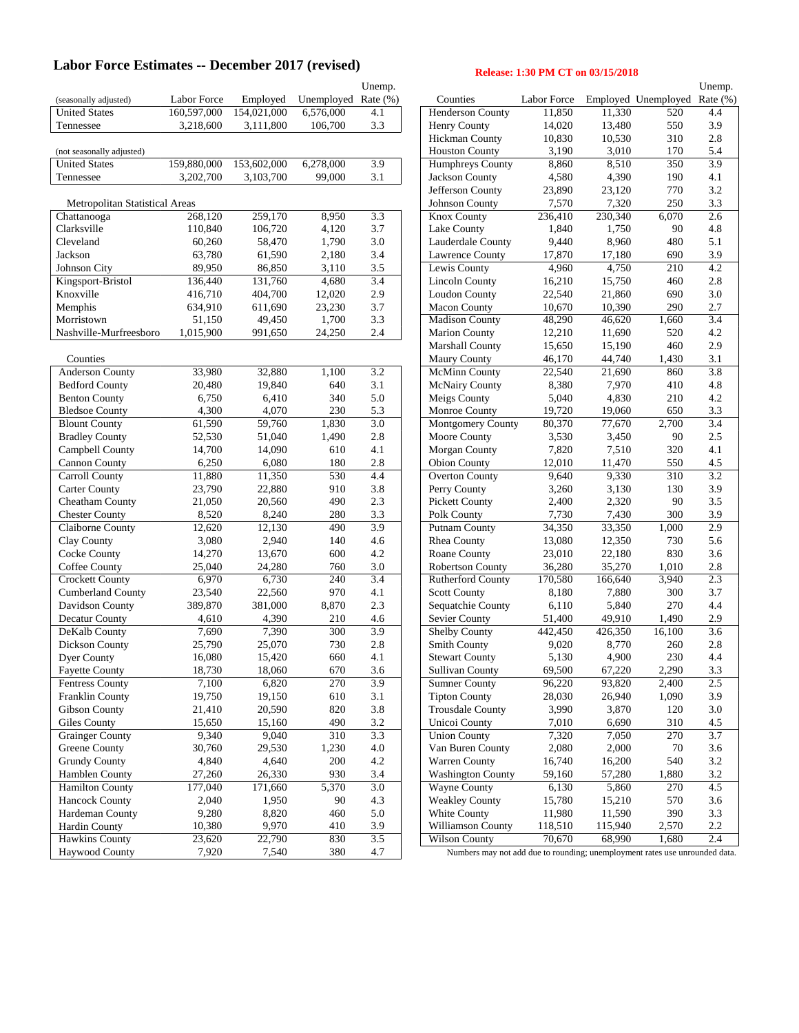# Labor Force Estimates -- December 2017 (revised) Release: 1:30 PM CT on 03/15/2018

|                                       |                     |             |                     | Unemp.           |                                                                             |             |         |                              | Unemp. |
|---------------------------------------|---------------------|-------------|---------------------|------------------|-----------------------------------------------------------------------------|-------------|---------|------------------------------|--------|
| (seasonally adjusted)                 | Labor Force         | Employed    | Unemployed Rate (%) |                  | Counties                                                                    | Labor Force |         | Employed Unemployed Rate (%) |        |
| <b>United States</b>                  | 160,597,000         | 154,021,000 | 6,576,000           | 4.1              | Henderson County                                                            | 11,850      | 11,330  | 520                          | 4.4    |
| Tennessee                             | 3,218,600           | 3,111,800   | 106,700             | 3.3              | Henry County                                                                | 14,020      | 13,480  | 550                          | 3.9    |
|                                       |                     |             |                     |                  | Hickman County                                                              | 10,830      | 10,530  | 310                          | 2.8    |
| (not seasonally adjusted)             |                     |             |                     |                  | <b>Houston County</b>                                                       | 3,190       | 3,010   | 170                          | 5.4    |
| <b>United States</b>                  | 159,880,000         | 153,602,000 | 6,278,000           | 3.9              | Humphreys County                                                            | 8,860       | 8,510   | 350                          | 3.9    |
| Tennessee                             | 3,202,700           | 3,103,700   | 99,000              | 3.1              | Jackson County                                                              | 4,580       | 4,390   | 190                          | 4.1    |
|                                       |                     |             |                     |                  | Jefferson County                                                            | 23,890      | 23,120  | 770                          | 3.2    |
| <b>Metropolitan Statistical Areas</b> |                     |             |                     |                  | Johnson County                                                              | 7,570       | 7,320   | 250                          | 3.3    |
| Chattanooga                           | 268,120             | 259,170     | 8,950               | 3.3              | <b>Knox County</b>                                                          | 236,410     | 230,340 | 6,070                        | 2.6    |
| Clarksville                           | 110,840             | 106,720     | 4,120               | 3.7              | Lake County                                                                 | 1,840       | 1,750   | 90                           | 4.8    |
| Cleveland                             | 60,260              | 58,470      | 1,790               | 3.0              | Lauderdale County                                                           | 9,440       | 8,960   | 480                          | 5.1    |
| Jackson                               |                     |             |                     |                  |                                                                             |             |         |                              |        |
|                                       | 63,780              | 61,590      | 2,180               | 3.4              | Lawrence County                                                             | 17,870      | 17,180  | 690                          | 3.9    |
| Johnson City                          | 89,950              | 86,850      | 3,110               | 3.5              | Lewis County                                                                | 4,960       | 4,750   | 210                          | 4.2    |
| Kingsport-Bristol                     | 136,440             | 131,760     | 4,680               | 3.4              | <b>Lincoln County</b>                                                       | 16,210      | 15,750  | 460                          | 2.8    |
| Knoxville                             | 416,710             | 404,700     | 12,020              | 2.9              | Loudon County                                                               | 22,540      | 21,860  | 690                          | 3.0    |
| Memphis                               | 634,910             | 611,690     | 23,230              | 3.7              | <b>Macon County</b>                                                         | 10,670      | 10,390  | 290                          | 2.7    |
| Morristown                            | 51,150              | 49,450      | 1,700               | 3.3              | <b>Madison County</b>                                                       | 48,290      | 46,620  | 1,660                        | 3.4    |
| Nashville-Murfreesboro                | 1,015,900           | 991,650     | 24,250              | 2.4              | <b>Marion County</b>                                                        | 12,210      | 11,690  | 520                          | 4.2    |
|                                       |                     |             |                     |                  | Marshall County                                                             | 15,650      | 15,190  | 460                          | 2.9    |
| Counties                              |                     |             |                     |                  | Maury County                                                                | 46,170      | 44,740  | 1,430                        | 3.1    |
| Anderson County                       | 33,980              | 32,880      | 1,100               | 3.2              | <b>McMinn County</b>                                                        | 22,540      | 21,690  | 860                          | 3.8    |
| <b>Bedford County</b>                 | 20,480              | 19,840      | 640                 | 3.1              | <b>McNairy County</b>                                                       | 8,380       | 7,970   | 410                          | 4.8    |
| <b>Benton County</b>                  | 6,750               | 6,410       | 340                 | 5.0              | Meigs County                                                                | 5,040       | 4,830   | 210                          | 4.2    |
| <b>Bledsoe County</b>                 | 4,300               | 4,070       | 230                 | 5.3              | Monroe County                                                               | 19,720      | 19,060  | 650                          | 3.3    |
| <b>Blount County</b>                  | 61,590              | 59,760      | 1,830               | 3.0              | Montgomery County                                                           | 80,370      | 77,670  | 2,700                        | 3.4    |
| <b>Bradley County</b>                 | 52,530              | 51,040      | 1,490               | 2.8              | Moore County                                                                | 3,530       | 3,450   | 90                           | 2.5    |
| Campbell County                       | 14,700              | 14,090      | 610                 | 4.1              | Morgan County                                                               | 7,820       | 7,510   | 320                          | 4.1    |
| <b>Cannon County</b>                  | 6,250               | 6,080       | 180                 | 2.8              | <b>Obion County</b>                                                         | 12,010      | 11,470  | 550                          | 4.5    |
| Carroll County                        | 11,880              | 11,350      | 530                 | 4.4              | <b>Overton County</b>                                                       | 9,640       | 9,330   | 310                          | 3.2    |
| <b>Carter County</b>                  | 23,790              | 22,880      | 910                 | 3.8              | Perry County                                                                | 3,260       | 3,130   | 130                          | 3.9    |
| Cheatham County                       | 21,050              | 20,560      | 490                 | 2.3              | <b>Pickett County</b>                                                       | 2,400       | 2,320   | 90                           | 3.5    |
| <b>Chester County</b>                 | 8,520               | 8,240       | 280                 | 3.3              | Polk County                                                                 | 7,730       | 7,430   | 300                          | 3.9    |
| Claiborne County                      | 12,620              | 12,130      | 490                 | 3.9              | Putnam County                                                               | 34,350      | 33,350  | 1,000                        | 2.9    |
| Clay County                           | 3,080               | 2,940       | 140                 | 4.6              | Rhea County                                                                 | 13,080      | 12,350  | 730                          | 5.6    |
|                                       |                     |             |                     |                  |                                                                             |             |         | 830                          |        |
| Cocke County                          | 14,270              | 13,670      | 600                 | 4.2              | Roane County                                                                | 23,010      | 22,180  |                              | 3.6    |
| Coffee County                         | 25,040              | 24,280      | 760                 | 3.0              | <b>Robertson County</b>                                                     | 36,280      | 35,270  | 1,010                        | 2.8    |
| <b>Crockett County</b>                | 6,970               | 6,730       | 240                 | 3.4              | <b>Rutherford County</b>                                                    | 170,580     | 166,640 | 3,940                        | 2.3    |
| <b>Cumberland County</b>              | 23,540              | 22,560      | 970                 | 4.1              | <b>Scott County</b>                                                         | 8,180       | 7,880   | 300                          | 3.7    |
| Davidson County                       | 389,870             | 381,000     | 8,870               | 2.3              | Sequatchie County                                                           | 6,110       | 5,840   | 270                          | 4.4    |
| Decatur County                        | 4,610               | 4,390       | 210                 | 4.6              | Sevier County                                                               | 51,400      | 49,910  | 1,490                        | 2.9    |
| DeKalb County                         | 7,690               | 7,390       | 300                 | 3.9              | <b>Shelby County</b>                                                        | 442,450     | 426,350 | 16,100                       | 3.6    |
| Dickson County                        | 25,790              | 25,070      | 730                 | 2.8              | <b>Smith County</b>                                                         | 9,020       | 8,770   | 260                          | 2.8    |
| Dyer County                           | 16,080              | 15,420      | 660                 | 4.1              | <b>Stewart County</b>                                                       | 5,130       | 4,900   | 230                          | 4.4    |
| <b>Fayette County</b>                 | 18,730              | 18,060      | 670                 | 3.6              | <b>Sullivan County</b>                                                      | 69,500      | 67,220  | 2,290                        | 3.3    |
| <b>Fentress County</b>                | 7,100               | 6,820       | 270                 | 3.9              | <b>Sumner County</b>                                                        | 96,220      | 93,820  | 2,400                        | 2.5    |
| Franklin County                       | 19,750              | 19,150      | 610                 | 3.1              | <b>Tipton County</b>                                                        | 28,030      | 26,940  | 1,090                        | 3.9    |
| Gibson County                         | 21,410              | 20,590      | 820                 | 3.8              | <b>Trousdale County</b>                                                     | 3,990       | 3,870   | 120                          | 3.0    |
| Giles County                          | 15,650              | 15,160      | 490                 | $3.2\,$          | Unicoi County                                                               | 7,010       | 6,690   | 310                          | 4.5    |
| <b>Grainger County</b>                | 9,340               | 9,040       | 310                 | $\overline{3.3}$ | <b>Union County</b>                                                         | 7,320       | 7,050   | 270                          | 3.7    |
| Greene County                         | 30,760              | 29,530      | 1,230               | 4.0              | Van Buren County                                                            | 2,080       | 2,000   | 70                           | 3.6    |
| <b>Grundy County</b>                  | 4,840               | 4,640       | 200                 | $4.2\,$          | Warren County                                                               | 16,740      | 16,200  | 540                          | 3.2    |
| Hamblen County                        | 27,260              | 26,330      | 930                 | 3.4              | <b>Washington County</b>                                                    | 59,160      | 57,280  | 1,880                        | 3.2    |
| Hamilton County                       | 177,040             | 171,660     | 5,370               | 3.0              | <b>Wayne County</b>                                                         | 6,130       | 5,860   | 270                          | 4.5    |
| <b>Hancock County</b>                 | 2,040               | 1,950       | 90                  | 4.3              | <b>Weakley County</b>                                                       | 15,780      | 15,210  | 570                          | 3.6    |
| Hardeman County                       | 9,280               | 8,820       | 460                 | 5.0              | White County                                                                | 11,980      | 11,590  | 390                          | 3.3    |
| Hardin County                         | 10,380              | 9,970       | 410                 | 3.9              | Williamson County                                                           | 118,510     | 115,940 | 2,570                        | 2.2    |
| Hawkins County                        | $\overline{23,620}$ | 22,790      | 830                 | $\overline{3.5}$ | Wilson County                                                               | 70,670      | 68,990  | 1,680                        | 2.4    |
| Haywood County                        | 7,920               | 7,540       | 380                 | $4.7\,$          |                                                                             |             |         |                              |        |
|                                       |                     |             |                     |                  | Numbers may not add due to rounding; unemployment rates use unrounded data. |             |         |                              |        |

| Unemp.        |                          |                      |                  |                     | Unemp.         |
|---------------|--------------------------|----------------------|------------------|---------------------|----------------|
| Rate (%)      | Counties                 | Labor Force          |                  | Employed Unemployed | Rate (%)       |
| 4.1           | Henderson County         | 11,850               | 11,330           | 520                 | 4.4            |
| 3.3           | <b>Henry County</b>      | 14,020               | 13,480           | 550                 | 3.9            |
|               | <b>Hickman County</b>    | 10,830               | 10,530           | 310                 | 2.8            |
|               | <b>Houston County</b>    | 3,190                | 3,010            | 170                 | 5.4            |
| 3.9           | Humphreys County         | 8,860                | 8,510            | 350                 | 3.9            |
| 3.1           | <b>Jackson County</b>    | 4,580                | 4,390            | 190                 | 4.1            |
|               | Jefferson County         | 23,890               | 23,120           | 770                 | 3.2            |
|               |                          |                      |                  |                     |                |
|               | <b>Johnson County</b>    | 7,570                | 7,320            | 250                 | 3.3            |
| 3.3           | Knox County              | $\overline{236,410}$ | 230,340          | 6,070               | 2.6            |
| 3.7           | Lake County              | 1,840                | 1,750            | 90                  | 4.8            |
| 3.0           | Lauderdale County        | 9,440                | 8,960            | 480                 | 5.1            |
| 3.4           | Lawrence County          | 17,870               | 17,180           | 690                 | 3.9            |
| 3.5           | Lewis County             | 4,960                | 4,750            | 210                 | 4.2            |
| 3.4           | <b>Lincoln County</b>    | 16,210               | 15,750           | 460                 | 2.8            |
| 2.9           | <b>Loudon County</b>     | 22,540               | 21,860           | 690                 | 3.0            |
| 3.7           | <b>Macon County</b>      | 10,670               | 10,390           | 290                 | 2.7            |
| 3.3           | <b>Madison County</b>    | 48,290               | 46,620           | 1,660               | 3.4            |
| 2.4           | <b>Marion County</b>     | 12,210               | 11,690           | 520                 | 4.2            |
|               | Marshall County          | 15,650               | 15,190           | 460                 | 2.9            |
|               | Maury County             | 46,170               | 44,740           | 1,430               | 3.1            |
| 3.2           | <b>McMinn County</b>     | 22,540               | 21,690           | 860                 | 3.8            |
| 3.1           | McNairy County           | 8,380                | 7,970            | 410                 | 4.8            |
| 5.0           | <b>Meigs County</b>      | 5,040                | 4,830            | 210                 | 4.2            |
| 5.3           | Monroe County            |                      |                  | 650                 | 3.3            |
|               |                          | 19,720               | 19,060           |                     |                |
| 3.0           | <b>Montgomery County</b> | 80,370               | 77,670           | 2,700               | 3.4            |
| 2.8           | Moore County             | 3,530                | 3,450            | 90                  | 2.5            |
| 4.1           | Morgan County            | 7,820                | 7,510            | 320                 | 4.1            |
| 2.8           | <b>Obion County</b>      | 12,010               | 11,470           | 550                 | 4.5            |
| 4.4           | Overton County           | 9,640                | 9,330            | 310                 | 3.2            |
| 3.8           | Perry County             | 3,260                | 3,130            | 130                 | 3.9            |
| 2.3           | <b>Pickett County</b>    | 2,400                | 2,320            | 90                  | 3.5            |
| 3.3           | Polk County              | 7,730                | 7,430            | 300                 | 3.9            |
| 3.9           | Putnam County            | 34,350               | 33,350           | 1,000               | 2.9            |
| 4.6           | Rhea County              | 13,080               | 12,350           | 730                 | 5.6            |
| 4.2           | Roane County             | 23,010               | 22,180           | 830                 | 3.6            |
| 3.0           | Robertson County         | 36,280               | 35,270           | 1,010               | 2.8            |
| 3.4           | Rutherford County        | 170,580              | 166,640          | 3,940               | 2.3            |
| 4.1           | <b>Scott County</b>      | 8,180                | 7,880            | 300                 | 3.7            |
| 2.3           | Sequatchie County        | 6,110                | 5,840            | 270                 | 4.4            |
| 4.6           | Sevier County            | 51,400               | 49,910           | 1,490               | 2.9            |
| 3.9           | <b>Shelby County</b>     | 442,450              | 426,350          | 16,100              | 3.6            |
| 2.8           | <b>Smith County</b>      | 9,020                | 8,770            | 260                 | 2.8            |
| 4.1           | <b>Stewart County</b>    | 5,130                | 4,900            | 230                 | 4.4            |
|               |                          | 69,500               |                  | 2,290               |                |
| 3.6           | Sullivan County          |                      | 67,220<br>93,820 |                     | 3.3<br>2.5     |
| 3.9           | <b>Sumner County</b>     | 96,220               |                  | 2,400<br>1,090      |                |
| 3.1           | <b>Tipton County</b>     | 28,030               | 26,940           |                     | 3.9            |
| 3.8           | <b>Trousdale County</b>  | 3,990                | 3,870            | 120                 | 3.0            |
| 3.2           | Unicoi County            | 7,010                | 6,690            | 310                 | 4.5            |
| 3.3           | <b>Union County</b>      | 7,320                | 7,050            | 270                 | 3.7            |
| 4.0           | Van Buren County         | 2,080                | 2,000            | 70                  | 3.6            |
| 4.2           | Warren County            | 16,740               | 16,200           | 540                 | 3.2            |
| 3.4           | <b>Washington County</b> | 59,160               | 57,280           | 1,880               | 3.2            |
| 3.0           | Wayne County             | 6,130                | 5,860            | 270                 | 4.5            |
| 4.3           | <b>Weakley County</b>    | 15,780               | 15,210           | 570                 | 3.6            |
| 5.0           | White County             | 11,980               | 11,590           | 390                 | 3.3            |
| 3.9           | Williamson County        | 118,510              | 115,940          | 2,570               | 2.2            |
| $\frac{1}{2}$ | Wilson County            | 70.670               | <b>69.000</b>    | 1.690               | 2 <sub>1</sub> |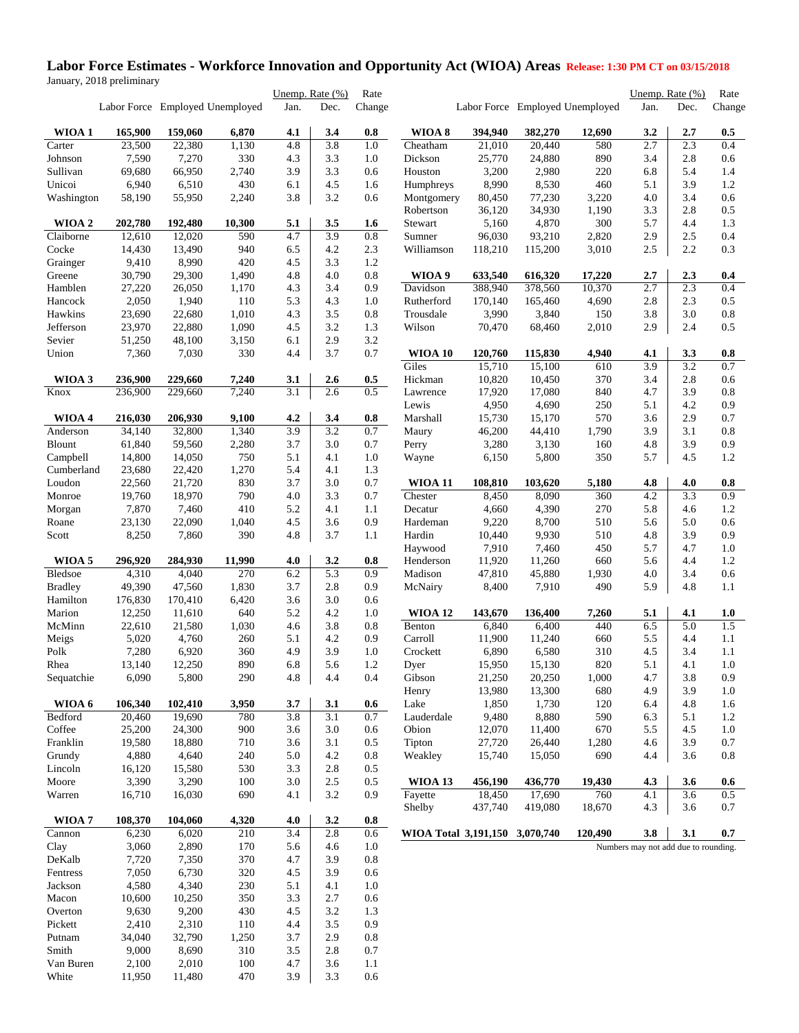#### **Labor Force Estimates - Workforce Innovation and Opportunity Act (WIOA) Areas Release: 1:30 PM CT on 03/15/2018** January, 2018 preliminary

|                |         |                                 |        | Unemp. Rate (%) |                  | Rate    |                                |                     |                                 |            |                                      | Unemp. Rate (%) | Rate           |
|----------------|---------|---------------------------------|--------|-----------------|------------------|---------|--------------------------------|---------------------|---------------------------------|------------|--------------------------------------|-----------------|----------------|
|                |         | Labor Force Employed Unemployed |        | Jan.            | Dec.             | Change  |                                |                     | Labor Force Employed Unemployed |            | Jan.                                 | Dec.            | Change         |
| WIOA 1         | 165,900 | 159,060                         | 6,870  | 4.1             | 3.4              | 0.8     | WIOA 8                         | 394,940             | 382,270                         | 12,690     | 3.2                                  | 2.7             | 0.5            |
| Carter         | 23,500  | 22,380                          | 1,130  | 4.8             | 3.8              | 1.0     | Cheatham                       | $\overline{21,010}$ | 20,440                          | 580        | 2.7                                  | 2.3             | 0.4            |
| Johnson        | 7,590   | 7,270                           | 330    | 4.3             | 3.3              | 1.0     | Dickson                        | 25,770              | 24,880                          | 890        | 3.4                                  | 2.8             | 0.6            |
| Sullivan       | 69,680  | 66,950                          | 2,740  | 3.9             | 3.3              | 0.6     | Houston                        | 3,200               | 2,980                           | 220        | 6.8                                  | 5.4             | 1.4            |
| Unicoi         | 6,940   | 6,510                           | 430    | 6.1             | 4.5              | 1.6     | Humphreys                      | 8,990               | 8,530                           | 460        | 5.1                                  | 3.9             | $1.2\,$        |
| Washington     | 58,190  | 55,950                          | 2,240  | 3.8             | 3.2              | 0.6     | Montgomery                     | 80,450              | 77,230                          | 3,220      | 4.0                                  | 3.4             | 0.6            |
|                |         |                                 |        |                 |                  |         | Robertson                      | 36,120              | 34,930                          | 1,190      | 3.3                                  | 2.8             | 0.5            |
| WIOA 2         | 202,780 | 192,480                         | 10,300 | 5.1             | 3.5              | 1.6     | Stewart                        | 5,160               | 4,870                           | 300        | 5.7                                  | 4.4             | 1.3            |
| Claiborne      | 12,610  | 12,020                          | 590    | 4.7             | 3.9              | $0.8\,$ | Sumner                         | 96,030              | 93,210                          | 2,820      | 2.9                                  | 2.5             | 0.4            |
| Cocke          | 14,430  | 13,490                          | 940    | 6.5             | 4.2              | 2.3     | Williamson                     | 118,210             | 115,200                         | 3,010      | 2.5                                  | 2.2             | 0.3            |
| Grainger       | 9,410   | 8,990                           | 420    | 4.5             | 3.3              | 1.2     |                                |                     |                                 |            |                                      |                 |                |
| Greene         | 30,790  | 29,300                          | 1,490  | 4.8             | 4.0              | $0.8\,$ | WIOA 9                         | 633,540             | 616,320                         | 17,220     | 2.7                                  | 2.3             | 0.4            |
| Hamblen        | 27,220  | 26,050                          | 1,170  | 4.3             | 3.4              | 0.9     | Davidson                       | 388,940             | 378,560                         | 10,370     | 2.7                                  | 2.3             | 0.4            |
| Hancock        | 2,050   | 1,940                           | 110    | 5.3             | 4.3              | 1.0     | Rutherford                     | 170,140             | 165,460                         | 4,690      | 2.8                                  | 2.3             | 0.5            |
| Hawkins        | 23,690  | 22,680                          | 1,010  | 4.3             | 3.5              | $0.8\,$ | Trousdale                      | 3,990               | 3,840                           | 150        | 3.8                                  | 3.0             | $0.8\,$        |
| Jefferson      | 23,970  | 22,880                          | 1,090  | 4.5             | 3.2              | 1.3     | Wilson                         | 70,470              | 68,460                          | 2,010      | 2.9                                  | 2.4             | 0.5            |
| Sevier         | 51,250  | 48,100                          | 3,150  | 6.1             | 2.9              | 3.2     |                                |                     |                                 |            |                                      |                 |                |
| Union          | 7,360   | 7,030                           | 330    | 4.4             | 3.7              | 0.7     | <b>WIOA 10</b>                 | 120,760             | 115,830                         | 4,940      | 4.1                                  | 3.3             | 0.8            |
|                |         |                                 |        |                 |                  |         | Giles                          | 15,710              | 15,100                          | 610        | 3.9                                  | 3.2             | 0.7            |
| WIOA 3         | 236,900 | 229,660                         | 7,240  | 3.1             | 2.6              | 0.5     | Hickman                        | 10,820              | 10,450                          | 370        | 3.4                                  | 2.8             | 0.6            |
| Knox           | 236,900 | 229,660                         | 7,240  | 3.1             | 2.6              | 0.5     | Lawrence                       | 17,920              | 17,080                          | 840        | 4.7                                  | 3.9             | $0.8\,$        |
|                |         |                                 |        |                 |                  |         | Lewis                          | 4,950               | 4,690                           | 250        | 5.1                                  | 4.2             | 0.9            |
| WIOA 4         | 216,030 | 206,930                         | 9,100  | 4.2             | 3.4              | 0.8     | Marshall                       | 15,730              | 15,170                          | 570        | 3.6                                  | 2.9             | 0.7            |
| Anderson       | 34,140  | 32,800                          | 1,340  | 3.9             | $\overline{3.2}$ | 0.7     | Maury                          | 46,200              | 44,410                          | 1,790      | 3.9                                  | 3.1             | 0.8            |
| <b>Blount</b>  | 61,840  | 59,560                          | 2,280  | 3.7             | 3.0              | 0.7     | Perry                          | 3,280               | 3,130                           | 160        | 4.8                                  | 3.9             | 0.9            |
| Campbell       | 14,800  | 14,050                          | 750    | 5.1             | 4.1              | 1.0     | Wayne                          | 6,150               | 5,800                           | 350        | 5.7                                  | 4.5             | 1.2            |
| Cumberland     | 23,680  | 22,420                          | 1,270  | 5.4             | 4.1              | 1.3     |                                |                     |                                 |            |                                      |                 |                |
| Loudon         | 22,560  | 21,720                          | 830    | 3.7             | 3.0              | 0.7     | <b>WIOA 11</b>                 | 108,810             | 103,620                         | 5,180      | 4.8                                  | 4.0             | $\mathbf{0.8}$ |
| Monroe         | 19,760  | 18,970                          | 790    | 4.0             | 3.3              | 0.7     | Chester                        | 8,450               | 8,090                           | 360        | 4.2                                  | 3.3             | 0.9            |
| Morgan         | 7,870   | 7,460                           | 410    | 5.2             | 4.1              | 1.1     | Decatur                        | 4,660               | 4,390                           | 270        | 5.8                                  | 4.6             | 1.2            |
| Roane          | 23,130  | 22,090                          | 1,040  | 4.5             | 3.6              | 0.9     | Hardeman                       | 9,220               | 8,700                           | 510        | 5.6                                  | 5.0<br>3.9      | 0.6<br>0.9     |
| Scott          | 8,250   | 7,860                           | 390    | 4.8             | 3.7              | 1.1     | Hardin                         | 10,440              | 9,930                           | 510        | 4.8                                  | 4.7             |                |
| WIOA 5         | 296,920 | 284,930                         | 11,990 | 4.0             | 3.2              | 0.8     | Haywood<br>Henderson           | 7,910<br>11,920     | 7,460<br>11,260                 | 450<br>660 | 5.7<br>5.6                           | 4.4             | 1.0<br>1.2     |
| Bledsoe        | 4,310   | 4,040                           | 270    | 6.2             | 5.3              | 0.9     | Madison                        | 47,810              | 45,880                          | 1,930      | 4.0                                  | 3.4             | 0.6            |
| <b>Bradley</b> | 49,390  | 47,560                          | 1,830  | 3.7             | 2.8              | 0.9     | McNairy                        | 8,400               | 7,910                           | 490        | 5.9                                  | 4.8             | 1.1            |
| Hamilton       | 176,830 | 170,410                         | 6,420  | 3.6             | 3.0              | 0.6     |                                |                     |                                 |            |                                      |                 |                |
| Marion         | 12,250  | 11,610                          | 640    | 5.2             | 4.2              | 1.0     | <b>WIOA 12</b>                 | 143,670             | 136,400                         | 7,260      | 5.1                                  | 4.1             | 1.0            |
| McMinn         | 22,610  | 21,580                          | 1,030  | 4.6             | 3.8              | $0.8\,$ | Benton                         | 6,840               | 6,400                           | 440        | 6.5                                  | 5.0             | 1.5            |
| Meigs          | 5,020   | 4,760                           | 260    | 5.1             | 4.2              | 0.9     | Carroll                        | 11,900              | 11,240                          | 660        | 5.5                                  | 4.4             | 1.1            |
| Polk           | 7,280   | 6,920                           | 360    | 4.9             | 3.9              | 1.0     | Crockett                       | 6,890               | 6,580                           | 310        | 4.5                                  | 3.4             | 1.1            |
| Rhea           | 13,140  | 12,250                          | 890    | 6.8             | 5.6              | 1.2     | Dyer                           | 15,950              | 15,130                          | 820        | 5.1                                  | 4.1             | 1.0            |
| Sequatchie     | 6,090   | 5,800                           | 290    | 4.8             | 4.4              | 0.4     | Gibson                         | 21,250              | 20,250                          | 1,000      | 4.7                                  | 3.8             | 0.9            |
|                |         |                                 |        |                 |                  |         | Henry                          | 13,980              | 13,300                          | 680        | 4.9                                  | 3.9             | 1.0            |
| WIOA 6         | 106,340 | 102,410                         | 3,950  | 3.7             | 3.1              | $0.6\,$ | Lake                           | 1,850               | 1,730                           | 120        | 6.4                                  | 4.8             | 1.6            |
| Bedford        | 20,460  | 19,690                          | 780    | 3.8             | 3.1              | 0.7     | Lauderdale                     | 9,480               | 8,880                           | 590        | 6.3                                  | 5.1             | 1.2            |
| Coffee         | 25,200  | 24,300                          | 900    | 3.6             | 3.0              | 0.6     | Obion                          | 12,070              | 11,400                          | 670        | 5.5                                  | 4.5             | 1.0            |
| Franklin       | 19,580  | 18,880                          | 710    | 3.6             | 3.1              | 0.5     | Tipton                         | 27,720              | 26,440                          | 1,280      | 4.6                                  | 3.9             | 0.7            |
| Grundy         | 4,880   | 4,640                           | 240    | 5.0             | 4.2              | 0.8     | Weakley                        | 15,740              | 15,050                          | 690        | 4.4                                  | 3.6             | 0.8            |
| Lincoln        | 16,120  | 15,580                          | 530    | 3.3             | 2.8              | 0.5     |                                |                     |                                 |            |                                      |                 |                |
| Moore          | 3,390   | 3,290                           | 100    | 3.0             | 2.5              | 0.5     | <b>WIOA 13</b>                 | 456,190             | 436,770                         | 19,430     | 4.3                                  | 3.6             | 0.6            |
| Warren         | 16,710  | 16,030                          | 690    | 4.1             | 3.2              | 0.9     | Fayette                        | 18,450              | 17,690                          | 760        | 4.1                                  | 3.6             | 0.5            |
|                |         |                                 |        |                 |                  |         | Shelby                         | 437,740             | 419,080                         | 18,670     | 4.3                                  | 3.6             | 0.7            |
| WIOA 7         | 108,370 | 104,060                         | 4,320  | 4.0             | 3.2              | 0.8     |                                |                     |                                 |            |                                      |                 |                |
| Cannon         | 6,230   | 6,020                           | 210    | 3.4             | 2.8              | 0.6     | WIOA Total 3,191,150 3,070,740 |                     |                                 | 120,490    | 3.8                                  | 3.1             | 0.7            |
| Clay           | 3,060   | 2,890                           | 170    | 5.6             | 4.6              | 1.0     |                                |                     |                                 |            | Numbers may not add due to rounding. |                 |                |
| DeKalb         | 7,720   | 7,350                           | 370    | 4.7             | 3.9              | 0.8     |                                |                     |                                 |            |                                      |                 |                |
| Fentress       | 7,050   | 6,730                           | 320    | 4.5             | 3.9              | 0.6     |                                |                     |                                 |            |                                      |                 |                |
| Jackson        | 4,580   | 4,340                           | 230    | 5.1             | 4.1              | 1.0     |                                |                     |                                 |            |                                      |                 |                |
| Macon          | 10,600  | 10,250                          | 350    | 3.3             | 2.7              | 0.6     |                                |                     |                                 |            |                                      |                 |                |
| Overton        | 9,630   | 9,200                           | 430    | 4.5             | 3.2              | 1.3     |                                |                     |                                 |            |                                      |                 |                |
| Pickett        | 2,410   | 2,310                           | 110    | 4.4             | 3.5              | 0.9     |                                |                     |                                 |            |                                      |                 |                |
| Putnam         | 34,040  | 32,790                          | 1,250  | 3.7             | 2.9              | 0.8     |                                |                     |                                 |            |                                      |                 |                |
| Smith          | 9,000   | 8,690                           | 310    | 3.5             | 2.8              | 0.7     |                                |                     |                                 |            |                                      |                 |                |
| Van Buren      | 2,100   | 2,010                           | 100    | 4.7             | 3.6              | 1.1     |                                |                     |                                 |            |                                      |                 |                |
| White          | 11,950  | 11,480                          | 470    | 3.9             | 3.3              | 0.6     |                                |                     |                                 |            |                                      |                 |                |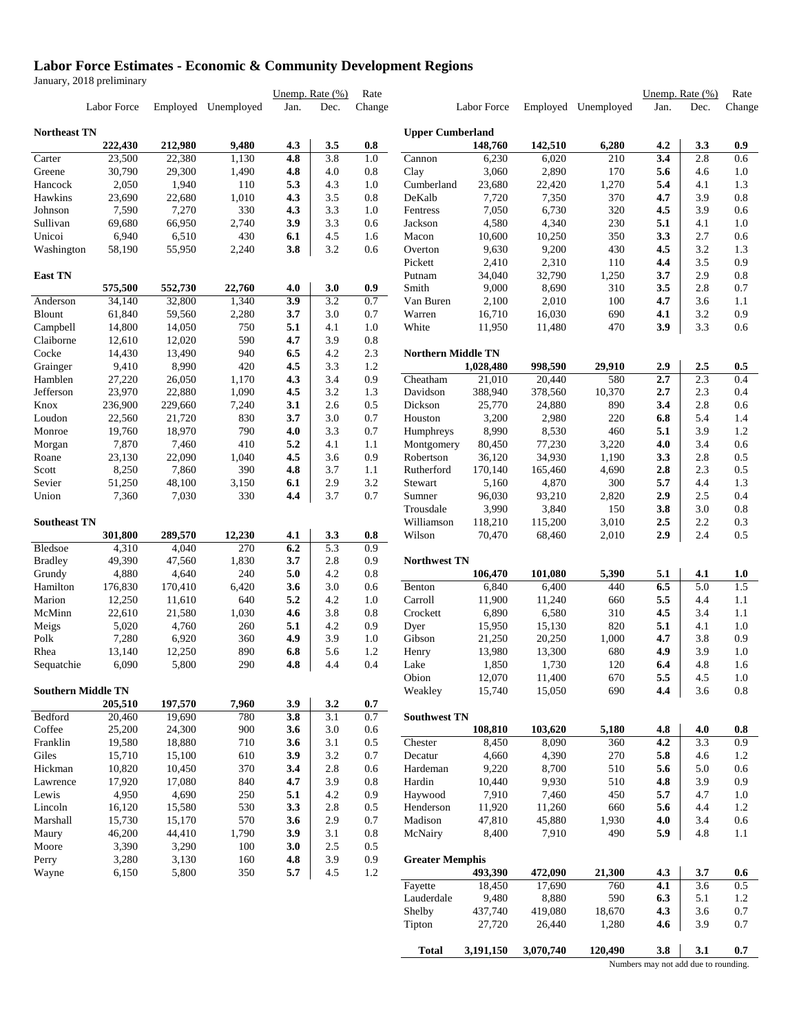### **Labor Force Estimates - Economic & Community Development Regions**

January, 2018 preliminary

|                           |                  |                  |                     | Unemp. Rate $(\%)$ |                  | Rate       |                           |                   |                   |                     |            | Unemp. Rate (%) | Rate       |
|---------------------------|------------------|------------------|---------------------|--------------------|------------------|------------|---------------------------|-------------------|-------------------|---------------------|------------|-----------------|------------|
|                           | Labor Force      |                  | Employed Unemployed | Jan.               | Dec.             | Change     |                           | Labor Force       |                   | Employed Unemployed | Jan.       | Dec.            | Change     |
| Northeast TN              |                  |                  |                     |                    |                  |            | <b>Upper Cumberland</b>   |                   |                   |                     |            |                 |            |
|                           | 222,430          | 212,980          | 9,480               | 4.3                | 3.5              | 0.8        |                           | 148,760           | 142,510           | 6,280               | 4.2        | 3.3             | 0.9        |
| Carter                    | 23,500           | 22,380           | 1,130               | 4.8                | 3.8              | 1.0        | Cannon                    | 6,230             | 6,020             | 210                 | 3.4        | 2.8             | 0.6        |
| Greene                    | 30,790           | 29,300           | 1,490               | 4.8                | 4.0              | 0.8        | Clay                      | 3,060             | 2,890             | 170                 | 5.6        | 4.6             | 1.0        |
| Hancock                   | 2,050            | 1,940            | 110                 | 5.3                | 4.3              | 1.0        | Cumberland                | 23,680            | 22,420            | 1,270               | 5.4        | 4.1             | 1.3        |
| Hawkins                   | 23,690           | 22,680           | 1,010               | 4.3                | 3.5              | 0.8        | DeKalb                    | 7,720             | 7,350             | 370                 | 4.7        | 3.9             | 0.8        |
| Johnson                   | 7,590            | 7,270            | 330                 | 4.3                | 3.3              | 1.0        | Fentress                  | 7,050             | 6,730             | 320                 | 4.5        | 3.9             | 0.6        |
| Sullivan<br>Unicoi        | 69,680<br>6,940  | 66,950           | 2,740<br>430        | 3.9                | 3.3              | 0.6        | Jackson                   | 4,580             | 4,340             | 230<br>350          | 5.1<br>3.3 | 4.1<br>2.7      | 1.0<br>0.6 |
| Washington                | 58,190           | 6,510<br>55,950  | 2,240               | 6.1<br>3.8         | 4.5<br>3.2       | 1.6<br>0.6 | Macon<br>Overton          | 10,600<br>9,630   | 10,250<br>9,200   | 430                 | 4.5        | 3.2             | 1.3        |
|                           |                  |                  |                     |                    |                  |            | Pickett                   | 2,410             | 2,310             | 110                 | 4.4        | 3.5             | 0.9        |
| <b>East TN</b>            |                  |                  |                     |                    |                  |            | Putnam                    | 34,040            | 32,790            | 1,250               | 3.7        | 2.9             | 0.8        |
|                           | 575,500          | 552,730          | 22,760              | 4.0                | 3.0              | 0.9        | Smith                     | 9,000             | 8,690             | 310                 | 3.5        | 2.8             | 0.7        |
| Anderson                  | 34,140           | 32,800           | 1,340               | 3.9                | 3.2              | 0.7        | Van Buren                 | 2,100             | 2,010             | 100                 | 4.7        | 3.6             | 1.1        |
| Blount                    | 61,840           | 59,560           | 2,280               | 3.7                | 3.0              | 0.7        | Warren                    | 16,710            | 16,030            | 690                 | 4.1        | 3.2             | 0.9        |
| Campbell                  | 14,800           | 14,050           | 750                 | 5.1                | 4.1              | 1.0        | White                     | 11,950            | 11,480            | 470                 | 3.9        | 3.3             | 0.6        |
| Claiborne                 | 12,610           | 12,020           | 590                 | 4.7                | 3.9              | 0.8        |                           |                   |                   |                     |            |                 |            |
| Cocke                     | 14,430           | 13,490           | 940                 | 6.5                | 4.2              | 2.3        | <b>Northern Middle TN</b> |                   |                   |                     |            |                 |            |
| Grainger                  | 9,410            | 8,990            | 420                 | 4.5                | 3.3              | 1.2        |                           | 1,028,480         | 998,590           | 29,910              | 2.9        | 2.5             | 0.5        |
| Hamblen                   | 27,220           | 26,050           | 1,170               | 4.3                | 3.4              | 0.9        | Cheatham                  | 21,010            | 20,440            | 580                 | 2.7        | 2.3             | 0.4        |
| Jefferson                 | 23,970           | 22,880           | 1,090               | 4.5                | 3.2              | 1.3        | Davidson                  | 388,940           | 378,560           | 10,370              | 2.7        | 2.3             | 0.4        |
| Knox                      | 236,900          | 229,660          | 7,240               | 3.1                | 2.6              | 0.5        | Dickson                   | 25,770            | 24,880            | 890                 | 3.4        | 2.8             | 0.6        |
| Loudon                    | 22,560           | 21,720           | 830                 | 3.7                | 3.0              | 0.7        | Houston                   | 3,200             | 2,980             | 220                 | 6.8        | 5.4             | 1.4        |
| Monroe                    | 19,760           | 18,970           | 790                 | 4.0                | 3.3              | 0.7        | Humphreys                 | 8,990             | 8,530             | 460                 | 5.1        | 3.9             | 1.2        |
| Morgan                    | 7,870            | 7,460            | 410                 | 5.2                | 4.1              | 1.1        | Montgomery                | 80,450            | 77,230            | 3,220               | 4.0        | 3.4             | 0.6        |
| Roane                     | 23,130           | 22,090           | 1,040               | 4.5                | 3.6              | 0.9        | Robertson                 | 36,120            | 34,930            | 1,190               | 3.3        | 2.8             | 0.5        |
| Scott                     | 8,250            | 7,860            | 390                 | 4.8                | 3.7              | 1.1        | Rutherford                | 170,140           | 165,460           | 4,690               | 2.8        | 2.3             | 0.5        |
| Sevier                    | 51,250           | 48,100           | 3,150               | 6.1                | 2.9              | 3.2        | Stewart                   | 5,160             | 4,870             | 300                 | 5.7        | 4.4             | 1.3        |
| Union                     | 7,360            | 7,030            | 330                 | 4.4                | 3.7              | 0.7        | Sumner                    | 96,030            | 93,210            | 2,820               | 2.9        | 2.5             | 0.4        |
|                           |                  |                  |                     |                    |                  |            | Trousdale                 | 3,990             | 3,840             | 150                 | 3.8        | 3.0             | 0.8        |
| Southeast TN              | 301,800          | 289,570          | 12,230              | 4.1                | 3.3              | 0.8        | Williamson<br>Wilson      | 118,210<br>70,470 | 115,200<br>68,460 | 3,010<br>2,010      | 2.5<br>2.9 | 2.2<br>2.4      | 0.3<br>0.5 |
| Bledsoe                   | 4,310            | 4,040            | 270                 | 6.2                | $\overline{5.3}$ | 0.9        |                           |                   |                   |                     |            |                 |            |
| Bradley                   | 49,390           | 47,560           | 1,830               | 3.7                | 2.8              | 0.9        | Northwest TN              |                   |                   |                     |            |                 |            |
| Grundy                    | 4,880            | 4,640            | 240                 | 5.0                | 4.2              | 0.8        |                           | 106,470           | 101,080           | 5,390               | 5.1        | 4.1             | 1.0        |
| Hamilton                  | 176,830          | 170,410          | 6,420               | 3.6                | 3.0              | 0.6        | Benton                    | 6,840             | 6,400             | 440                 | 6.5        | 5.0             | 1.5        |
| Marion                    | 12,250           | 11,610           | 640                 | 5.2                | 4.2              | 1.0        | Carroll                   | 11,900            | 11,240            | 660                 | 5.5        | 4.4             | 1.1        |
| McMinn                    | 22,610           | 21,580           | 1,030               | 4.6                | 3.8              | 0.8        | Crockett                  | 6,890             | 6,580             | 310                 | 4.5        | 3.4             | 1.1        |
| Meigs                     | 5,020            | 4,760            | 260                 | 5.1                | 4.2              | 0.9        | Dyer                      | 15,950            | 15,130            | 820                 | 5.1        | 4.1             | 1.0        |
| Polk                      | 7,280            | 6,920            | 360                 | 4.9                | 3.9              | 1.0        | Gibson                    | 21,250            | 20,250            | 1,000               | 4.7        | 3.8             | 0.9        |
| Rhea                      | 13,140           | 12,250           | 890                 | 6.8                | 5.6              | 1.2        | Henry                     | 13,980            | 13,300            | 680                 | 4.9        | 3.9             | 1.0        |
| Sequatchie                | 6,090            | 5,800            | 290                 | 4.8                | 4.4              | 0.4        | Lake                      | 1,850             | 1,730             | 120                 | 6.4        | 4.8             | 1.6        |
|                           |                  |                  |                     |                    |                  |            | Obion                     | 12,070            | 11,400            | 670                 | 5.5        | 4.5             | 1.0        |
| <b>Southern Middle TN</b> |                  |                  |                     |                    |                  |            | Weakley                   | 15,740            | 15,050            | 690                 | 4.4        | 3.6             | 0.8        |
|                           | 205,510          | 197,570          | 7,960               | 3.9                | 3.2              | 0.7        |                           |                   |                   |                     |            |                 |            |
| Bedford                   | 20,460           | 19,690           | 780                 | 3.8                | 3.1              | 0.7        | <b>Southwest TN</b>       |                   |                   |                     |            |                 |            |
| Coffee                    | 25,200           | 24,300           | 900                 | 3.6                | 3.0              | 0.6        |                           | 108,810           | 103,620           | 5,180               | 4.8        | 4.0             | 0.8        |
| Franklin                  | 19,580           | 18,880           | 710                 | 3.6                | 3.1              | 0.5        | Chester                   | 8,450             | 8,090             | 360                 | 4.2        | 3.3             | 0.9        |
| Giles                     | 15,710           | 15,100           | 610                 | 3.9                | 3.2              | 0.7        | Decatur                   | 4,660             | 4,390             | 270                 | 5.8        | 4.6             | 1.2        |
| Hickman                   | 10,820<br>17,920 | 10,450<br>17,080 | 370                 | 3.4<br>4.7         | 2.8<br>3.9       | 0.6        | Hardeman<br>Hardin        | 9,220<br>10,440   | 8,700<br>9,930    | 510<br>510          | 5.6        | 5.0<br>3.9      | 0.6<br>0.9 |
| Lawrence<br>Lewis         | 4,950            | 4,690            | 840<br>250          | 5.1                | 4.2              | 0.8<br>0.9 | Haywood                   | 7,910             | 7,460             | 450                 | 4.8<br>5.7 | 4.7             | 1.0        |
| Lincoln                   | 16,120           | 15,580           | 530                 | 3.3                | 2.8              | 0.5        | Henderson                 | 11,920            | 11,260            | 660                 | 5.6        | 4.4             | 1.2        |
| Marshall                  | 15,730           | 15,170           | 570                 | 3.6                | 2.9              | 0.7        | Madison                   | 47,810            | 45,880            | 1,930               | 4.0        | 3.4             | 0.6        |
| Maury                     | 46,200           | 44,410           | 1,790               | 3.9                | 3.1              | 0.8        | McNairy                   | 8,400             | 7,910             | 490                 | 5.9        | 4.8             | 1.1        |
| Moore                     | 3,390            | 3,290            | 100                 | 3.0                | 2.5              | 0.5        |                           |                   |                   |                     |            |                 |            |
| Perry                     | 3,280            | 3,130            | 160                 | 4.8                | 3.9              | 0.9        | <b>Greater Memphis</b>    |                   |                   |                     |            |                 |            |
| Wayne                     | 6,150            | 5,800            | 350                 | 5.7                | 4.5              | 1.2        |                           | 493,390           | 472,090           | 21,300              | 4.3        | 3.7             | 0.6        |
|                           |                  |                  |                     |                    |                  |            | Fayette                   | 18,450            | 17,690            | 760                 | 4.1        | 3.6             | 0.5        |
|                           |                  |                  |                     |                    |                  |            | Lauderdale                | 9,480             | 8,880             | 590                 | 6.3        | 5.1             | 1.2        |
|                           |                  |                  |                     |                    |                  |            | Shelby                    | 437,740           | 419,080           | 18,670              | 4.3        | 3.6             | 0.7        |
|                           |                  |                  |                     |                    |                  |            | Tipton                    | 27,720            | 26,440            | 1,280               | 4.6        | 3.9             | 0.7        |
|                           |                  |                  |                     |                    |                  |            |                           |                   |                   |                     |            |                 |            |
|                           |                  |                  |                     |                    |                  |            | Total                     | 3,191,150         | 3,070,740         | 120,490             | 3.8        | 3.1             | 0.7        |

Numbers may not add due to rounding.